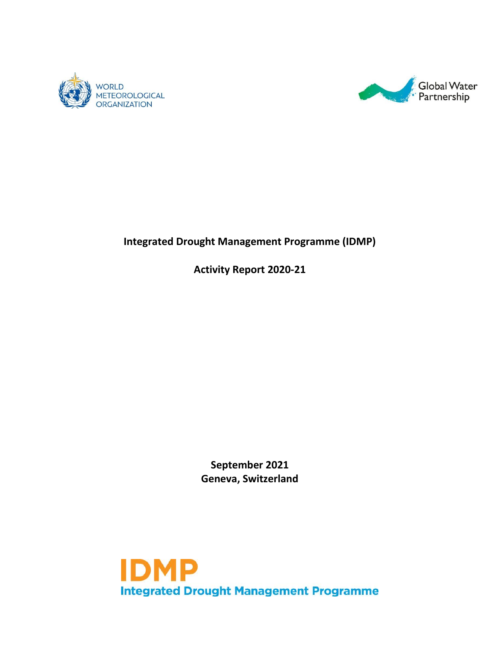



# **Integrated Drought Management Programme (IDMP)**

**Activity Report 2020-21**

**September 2021 Geneva, Switzerland**

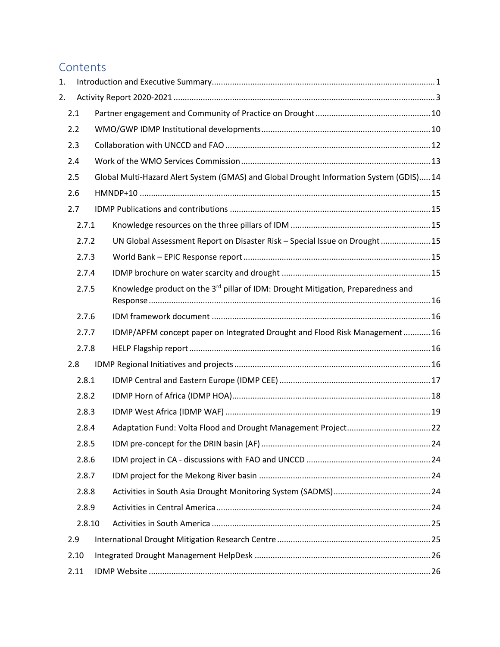# **Contents**

| 1. |        |                                                                                              |  |
|----|--------|----------------------------------------------------------------------------------------------|--|
| 2. |        |                                                                                              |  |
|    | 2.1    |                                                                                              |  |
|    | 2.2    |                                                                                              |  |
|    | 2.3    |                                                                                              |  |
|    | 2.4    |                                                                                              |  |
|    | 2.5    | Global Multi-Hazard Alert System (GMAS) and Global Drought Information System (GDIS) 14      |  |
|    | 2.6    |                                                                                              |  |
|    | 2.7    |                                                                                              |  |
|    | 2.7.1  |                                                                                              |  |
|    | 2.7.2  | UN Global Assessment Report on Disaster Risk - Special Issue on Drought 15                   |  |
|    | 2.7.3  |                                                                                              |  |
|    | 2.7.4  |                                                                                              |  |
|    | 2.7.5  | Knowledge product on the 3 <sup>rd</sup> pillar of IDM: Drought Mitigation, Preparedness and |  |
|    | 2.7.6  |                                                                                              |  |
|    | 2.7.7  | IDMP/APFM concept paper on Integrated Drought and Flood Risk Management  16                  |  |
|    | 2.7.8  |                                                                                              |  |
|    | 2.8    |                                                                                              |  |
|    | 2.8.1  |                                                                                              |  |
|    | 2.8.2  |                                                                                              |  |
|    | 2.8.3  |                                                                                              |  |
|    | 2.8.4  |                                                                                              |  |
|    | 2.8.5  |                                                                                              |  |
|    | 2.8.6  |                                                                                              |  |
|    | 2.8.7  |                                                                                              |  |
|    | 2.8.8  |                                                                                              |  |
|    | 2.8.9  |                                                                                              |  |
|    | 2.8.10 |                                                                                              |  |
|    | 2.9    |                                                                                              |  |
|    | 2.10   |                                                                                              |  |
|    | 2.11   |                                                                                              |  |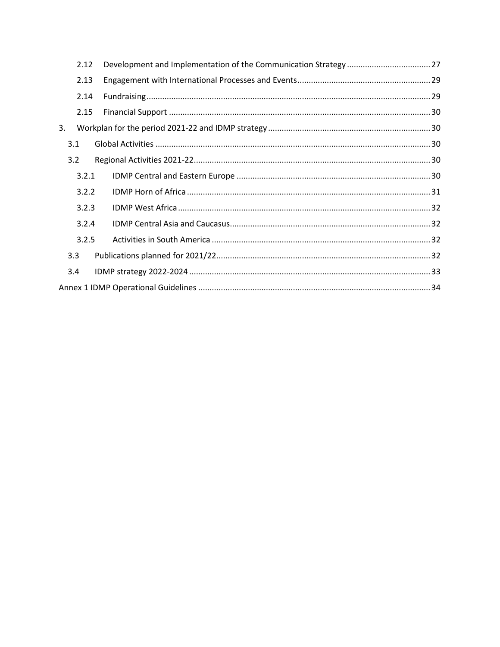|     | 2.12  |  |
|-----|-------|--|
|     | 2.13  |  |
|     | 2.14  |  |
|     | 2.15  |  |
| 3.  |       |  |
| 3.1 |       |  |
| 3.2 |       |  |
|     | 3.2.1 |  |
|     | 3.2.2 |  |
|     | 3.2.3 |  |
|     | 3.2.4 |  |
|     | 3.2.5 |  |
| 3.3 |       |  |
| 3.4 |       |  |
|     |       |  |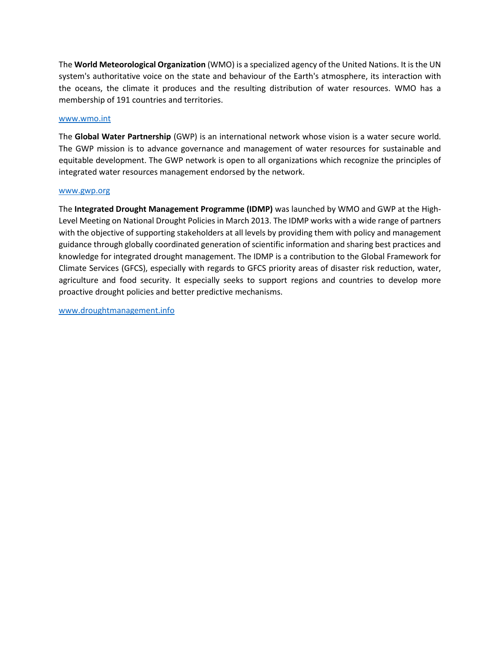The **World Meteorological Organization** (WMO) is a specialized agency of the United Nations. It is the UN system's authoritative voice on the state and behaviour of the Earth's atmosphere, its interaction with the oceans, the climate it produces and the resulting distribution of water resources. WMO has a membership of 191 countries and territories.

#### [www.wmo.int](https://wmoomm-my.sharepoint.com/personal/kehlert_wmo_int/Documents/M_Drive/1_IDMP/5_Annual_Meetings/2020/Activity%20report/www.wmo.int)

The **Global Water Partnership** (GWP) is an international network whose vision is a water secure world. The GWP mission is to advance governance and management of water resources for sustainable and equitable development. The GWP network is open to all organizations which recognize the principles of integrated water resources management endorsed by the network.

#### [www.gwp.org](https://wmoomm-my.sharepoint.com/personal/kehlert_wmo_int/Documents/M_Drive/1_IDMP/5_Annual_Meetings/2020/Activity%20report/www.gwp.org)

The **Integrated Drought Management Programme (IDMP)** was launched by WMO and GWP at the High-Level Meeting on National Drought Policies in March 2013. The IDMP works with a wide range of partners with the objective of supporting stakeholders at all levels by providing them with policy and management guidance through globally coordinated generation of scientific information and sharing best practices and knowledge for integrated drought management. The IDMP is a contribution to the Global Framework for Climate Services (GFCS), especially with regards to GFCS priority areas of disaster risk reduction, water, agriculture and food security. It especially seeks to support regions and countries to develop more proactive drought policies and better predictive mechanisms.

[www.droughtmanagement.info](https://www.droughtmanagement.info/)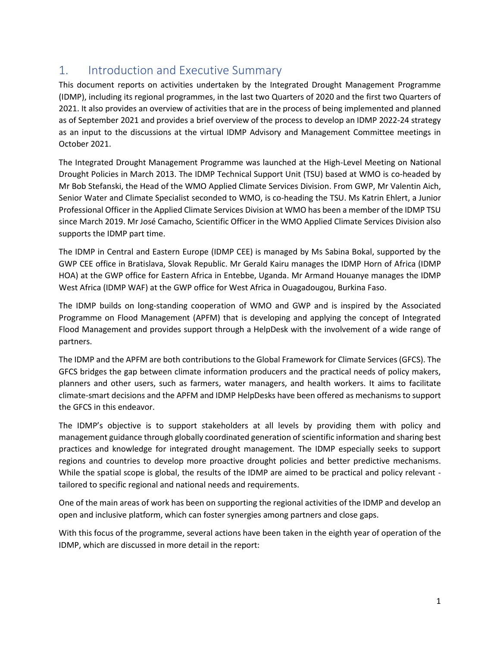# <span id="page-4-0"></span>1. Introduction and Executive Summary

This document reports on activities undertaken by the Integrated Drought Management Programme (IDMP), including its regional programmes, in the last two Quarters of 2020 and the first two Quarters of 2021. It also provides an overview of activities that are in the process of being implemented and planned as of September 2021 and provides a brief overview of the process to develop an IDMP 2022-24 strategy as an input to the discussions at the virtual IDMP Advisory and Management Committee meetings in October 2021.

The Integrated Drought Management Programme was launched at the High-Level Meeting on National Drought Policies in March 2013. The IDMP Technical Support Unit (TSU) based at WMO is co-headed by Mr Bob Stefanski, the Head of the WMO Applied Climate Services Division. From GWP, Mr Valentin Aich, Senior Water and Climate Specialist seconded to WMO, is co-heading the TSU. Ms Katrin Ehlert, a Junior Professional Officer in the Applied Climate Services Division at WMO has been a member of the IDMP TSU since March 2019. Mr José Camacho, Scientific Officer in the WMO Applied Climate Services Division also supports the IDMP part time.

The IDMP in Central and Eastern Europe (IDMP CEE) is managed by Ms Sabina Bokal, supported by the GWP CEE office in Bratislava, Slovak Republic. Mr Gerald Kairu manages the IDMP Horn of Africa (IDMP HOA) at the GWP office for Eastern Africa in Entebbe, Uganda. Mr Armand Houanye manages the IDMP West Africa (IDMP WAF) at the GWP office for West Africa in Ouagadougou, Burkina Faso.

The IDMP builds on long-standing cooperation of WMO and GWP and is inspired by the Associated Programme on Flood Management (APFM) that is developing and applying the concept of Integrated Flood Management and provides support through a HelpDesk with the involvement of a wide range of partners.

The IDMP and the APFM are both contributions to the Global Framework for Climate Services (GFCS). The GFCS bridges the gap between climate information producers and the practical needs of policy makers, planners and other users, such as farmers, water managers, and health workers. It aims to facilitate climate-smart decisions and the APFM and IDMP HelpDesks have been offered as mechanisms to support the GFCS in this endeavor.

The IDMP's objective is to support stakeholders at all levels by providing them with policy and management guidance through globally coordinated generation of scientific information and sharing best practices and knowledge for integrated drought management. The IDMP especially seeks to support regions and countries to develop more proactive drought policies and better predictive mechanisms. While the spatial scope is global, the results of the IDMP are aimed to be practical and policy relevant tailored to specific regional and national needs and requirements.

One of the main areas of work has been on supporting the regional activities of the IDMP and develop an open and inclusive platform, which can foster synergies among partners and close gaps.

With this focus of the programme, several actions have been taken in the eighth year of operation of the IDMP, which are discussed in more detail in the report: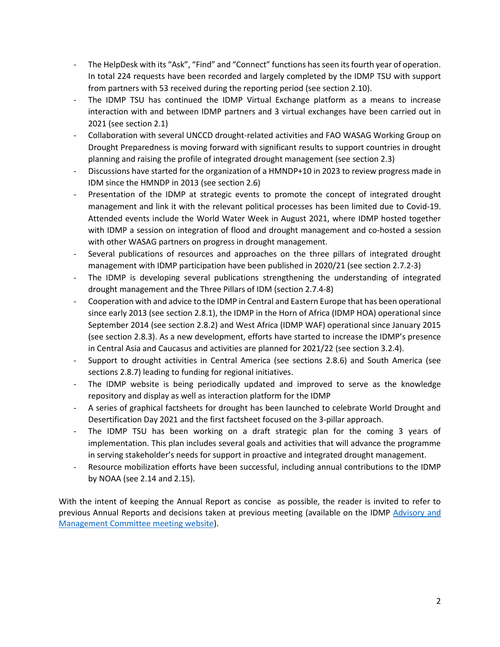- The HelpDesk with its "Ask", "Find" and "Connect" functions has seen its fourth year of operation. In total 224 requests have been recorded and largely completed by the IDMP TSU with support from partners with 53 received during the reporting period (see section 2.10).
- The IDMP TSU has continued the IDMP Virtual Exchange platform as a means to increase interaction with and between IDMP partners and 3 virtual exchanges have been carried out in 2021 (see section 2.1)
- Collaboration with several UNCCD drought-related activities and FAO WASAG Working Group on Drought Preparedness is moving forward with significant results to support countries in drought planning and raising the profile of integrated drought management (see section 2.3)
- Discussions have started for the organization of a HMNDP+10 in 2023 to review progress made in IDM since the HMNDP in 2013 (see section 2.6)
- Presentation of the IDMP at strategic events to promote the concept of integrated drought management and link it with the relevant political processes has been limited due to Covid-19. Attended events include the World Water Week in August 2021, where IDMP hosted together with IDMP a session on integration of flood and drought management and co-hosted a session with other WASAG partners on progress in drought management.
- Several publications of resources and approaches on the three pillars of integrated drought management with IDMP participation have been published in 2020/21 (see section 2.7.2-3)
- The IDMP is developing several publications strengthening the understanding of integrated drought management and the Three Pillars of IDM (section 2.7.4-8)
- Cooperation with and advice to the IDMP in Central and Eastern Europe that has been operational since early 2013 (see section 2.8.1), the IDMP in the Horn of Africa (IDMP HOA) operational since September 2014 (see section 2.8.2) and West Africa (IDMP WAF) operational since January 2015 (see section 2.8.3). As a new development, efforts have started to increase the IDMP's presence in Central Asia and Caucasus and activities are planned for 2021/22 (see section 3.2.4).
- Support to drought activities in Central America (see sections 2.8.6) and South America (see sections 2.8.7) leading to funding for regional initiatives.
- The IDMP website is being periodically updated and improved to serve as the knowledge repository and display as well as interaction platform for the IDMP
- A series of graphical factsheets for drought has been launched to celebrate World Drought and Desertification Day 2021 and the first factsheet focused on the 3-pillar approach.
- The IDMP TSU has been working on a draft strategic plan for the coming 3 years of implementation. This plan includes several goals and activities that will advance the programme in serving stakeholder's needs for support in proactive and integrated drought management.
- Resource mobilization efforts have been successful, including annual contributions to the IDMP by NOAA (see 2.14 and 2.15).

With the intent of keeping the Annual Report as concise as possible, the reader is invited to refer to previous Annual Reports and decisions taken at previous meeting (available on the IDMP [Advisory and](http://www.droughtmanagement.info/about-idmp/advisory-and-management-committee-meetings/)  [Management Committee meeting website\)](http://www.droughtmanagement.info/about-idmp/advisory-and-management-committee-meetings/).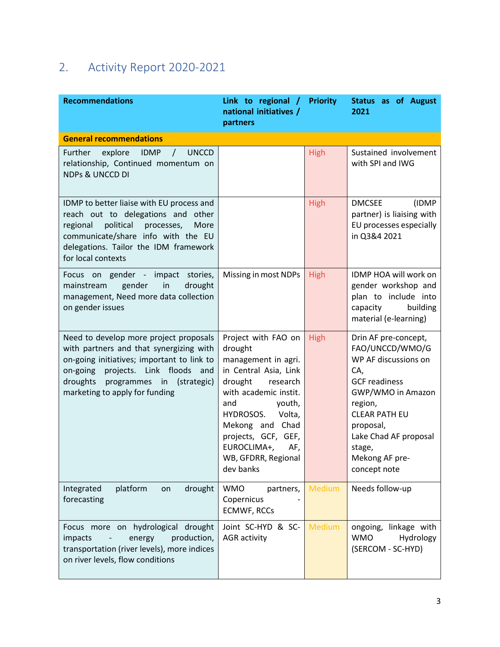# <span id="page-6-0"></span>2. Activity Report 2020-2021

| <b>Recommendations</b>                                                                                                                                                                                                                           | Link to regional /<br>national initiatives /<br>partners                                                                                                                                                                                                                   | <b>Priority</b> | <b>Status as of August</b><br>2021                                                                                                                                                                                                       |
|--------------------------------------------------------------------------------------------------------------------------------------------------------------------------------------------------------------------------------------------------|----------------------------------------------------------------------------------------------------------------------------------------------------------------------------------------------------------------------------------------------------------------------------|-----------------|------------------------------------------------------------------------------------------------------------------------------------------------------------------------------------------------------------------------------------------|
| <b>General recommendations</b>                                                                                                                                                                                                                   |                                                                                                                                                                                                                                                                            |                 |                                                                                                                                                                                                                                          |
| Further<br>explore<br><b>IDMP</b><br><b>UNCCD</b><br>$\sqrt{2}$<br>relationship, Continued momentum on<br><b>NDPs &amp; UNCCD DI</b>                                                                                                             |                                                                                                                                                                                                                                                                            | <b>High</b>     | Sustained involvement<br>with SPI and IWG                                                                                                                                                                                                |
| IDMP to better liaise with EU process and<br>reach out to delegations and other<br>political<br>processes,<br>More<br>regional<br>communicate/share info with the EU<br>delegations. Tailor the IDM framework<br>for local contexts              |                                                                                                                                                                                                                                                                            | <b>High</b>     | <b>DMCSEE</b><br>(IDMP<br>partner) is liaising with<br>EU processes especially<br>in Q3&4 2021                                                                                                                                           |
| Focus on gender - impact stories,<br>gender<br>in<br>drought<br>mainstream<br>management, Need more data collection<br>on gender issues                                                                                                          | Missing in most NDPs                                                                                                                                                                                                                                                       | <b>High</b>     | IDMP HOA will work on<br>gender workshop and<br>plan to include into<br>capacity<br>building<br>material (e-learning)                                                                                                                    |
| Need to develop more project proposals<br>with partners and that synergizing with<br>on-going initiatives; important to link to<br>on-going projects. Link floods and<br>droughts<br>programmes in (strategic)<br>marketing to apply for funding | Project with FAO on<br>drought<br>management in agri.<br>in Central Asia, Link<br>drought<br>research<br>with academic instit.<br>and<br>youth,<br>HYDROSOS.<br>Volta,<br>Mekong and Chad<br>projects, GCF, GEF,<br>EUROCLIMA+,<br>AF,<br>WB, GFDRR, Regional<br>dev banks | <b>High</b>     | Drin AF pre-concept,<br>FAO/UNCCD/WMO/G<br>WP AF discussions on<br>CA,<br><b>GCF</b> readiness<br>GWP/WMO in Amazon<br>region,<br><b>CLEAR PATH EU</b><br>proposal,<br>Lake Chad AF proposal<br>stage,<br>Mekong AF pre-<br>concept note |
| Integrated<br>platform<br>drought<br>on<br>forecasting                                                                                                                                                                                           | <b>WMO</b><br>partners,<br>Copernicus<br><b>ECMWF, RCCs</b>                                                                                                                                                                                                                | Medium          | Needs follow-up                                                                                                                                                                                                                          |
| Focus more on hydrological drought<br>production,<br>impacts<br>energy<br>transportation (river levels), more indices<br>on river levels, flow conditions                                                                                        | Joint SC-HYD & SC-<br><b>AGR</b> activity                                                                                                                                                                                                                                  | Medium          | ongoing, linkage with<br><b>WMO</b><br>Hydrology<br>(SERCOM - SC-HYD)                                                                                                                                                                    |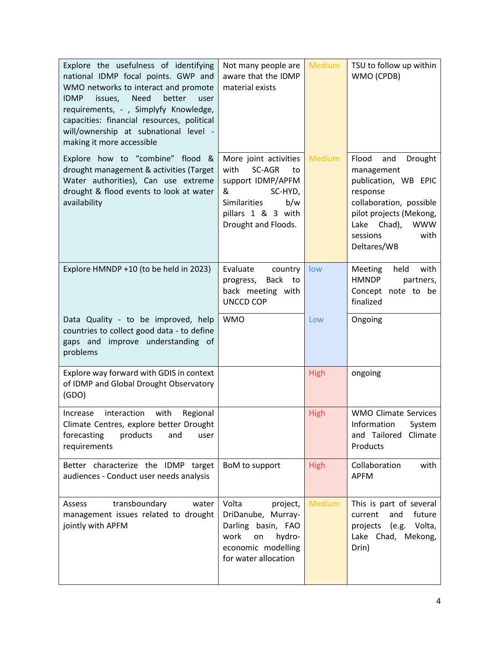| Explore the usefulness of identifying<br>national IDMP focal points. GWP and<br>WMO networks to interact and promote<br><b>Need</b><br>better<br><b>IDMP</b><br>issues,<br>user<br>requirements, - , Simplyfy Knowledge,<br>capacities: financial resources, political<br>will/ownership at subnational level -<br>making it more accessible | Not many people are<br>aware that the IDMP<br>material exists                                                                                          | <b>Medium</b> | TSU to follow up within<br>WMO (CPDB)                                                                                                                                                              |
|----------------------------------------------------------------------------------------------------------------------------------------------------------------------------------------------------------------------------------------------------------------------------------------------------------------------------------------------|--------------------------------------------------------------------------------------------------------------------------------------------------------|---------------|----------------------------------------------------------------------------------------------------------------------------------------------------------------------------------------------------|
| Explore how to "combine" flood &<br>drought management & activities (Target<br>Water authorities), Can use extreme<br>drought & flood events to look at water<br>availability                                                                                                                                                                | More joint activities<br>with<br>SC-AGR<br>to<br>support IDMP/APFM<br>&<br>SC-HYD,<br>Similarities<br>b/w<br>pillars 1 & 3 with<br>Drought and Floods. | <b>Medium</b> | Flood<br>and<br>Drought<br>management<br>publication, WB EPIC<br>response<br>collaboration, possible<br>pilot projects (Mekong,<br>Chad),<br><b>WWW</b><br>Lake<br>sessions<br>with<br>Deltares/WB |
| Explore HMNDP +10 (to be held in 2023)                                                                                                                                                                                                                                                                                                       | Evaluate<br>country<br>Back to<br>progress,<br>back meeting with<br><b>UNCCD COP</b>                                                                   | low           | <b>Meeting</b><br>held<br>with<br><b>HMNDP</b><br>partners,<br>Concept note to be<br>finalized                                                                                                     |
| Data Quality - to be improved, help<br>countries to collect good data - to define<br>gaps and improve understanding of<br>problems                                                                                                                                                                                                           | <b>WMO</b>                                                                                                                                             | Low           | Ongoing                                                                                                                                                                                            |
| Explore way forward with GDIS in context<br>of IDMP and Global Drought Observatory<br>(GDO)                                                                                                                                                                                                                                                  |                                                                                                                                                        | <b>High</b>   | ongoing                                                                                                                                                                                            |
| interaction<br>with<br>Regional<br>Increase<br>Climate Centres, explore better Drought<br>products<br>forecasting<br>and<br>user<br>requirements                                                                                                                                                                                             |                                                                                                                                                        | <b>High</b>   | <b>WMO Climate Services</b><br>Information<br>System<br>and Tailored<br>Climate<br>Products                                                                                                        |
| Better characterize the IDMP target<br>audiences - Conduct user needs analysis                                                                                                                                                                                                                                                               | BoM to support                                                                                                                                         | <b>High</b>   | Collaboration<br>with<br><b>APFM</b>                                                                                                                                                               |
| transboundary<br>water<br>Assess<br>management issues related to drought<br>jointly with APFM                                                                                                                                                                                                                                                | Volta<br>project,<br>DriDanube, Murray-<br>Darling basin, FAO<br>work<br>hydro-<br>on<br>economic modelling<br>for water allocation                    | <b>Medium</b> | This is part of several<br>future<br>and<br>current<br>(e.g. Volta,<br>projects<br>Lake Chad, Mekong,<br>Drin)                                                                                     |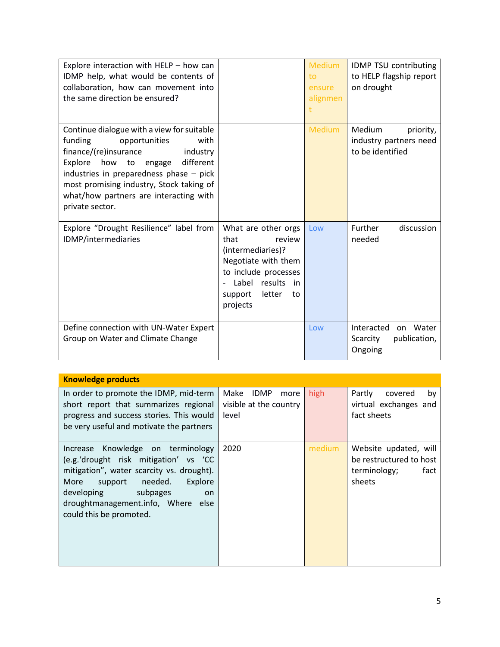| Explore interaction with HELP - how can<br>IDMP help, what would be contents of<br>collaboration, how can movement into<br>the same direction be ensured?                                                                                                                                                             |                                                                                                                                                                            | <b>Medium</b><br>to<br>ensure<br>alignmen | IDMP TSU contributing<br>to HELP flagship report<br>on drought    |
|-----------------------------------------------------------------------------------------------------------------------------------------------------------------------------------------------------------------------------------------------------------------------------------------------------------------------|----------------------------------------------------------------------------------------------------------------------------------------------------------------------------|-------------------------------------------|-------------------------------------------------------------------|
| Continue dialogue with a view for suitable<br>funding<br>opportunities<br>with<br>finance/(re)insurance<br>industry<br>Explore how<br>different<br>to<br>engage<br>industries in preparedness phase $-$ pick<br>most promising industry, Stock taking of<br>what/how partners are interacting with<br>private sector. |                                                                                                                                                                            | <b>Medium</b>                             | Medium<br>priority,<br>industry partners need<br>to be identified |
| Explore "Drought Resilience" label from<br>IDMP/intermediaries                                                                                                                                                                                                                                                        | What are other orgs<br>that<br>review<br>(intermediaries)?<br>Negotiate with them<br>to include processes<br>Label results<br>in in<br>letter<br>support<br>to<br>projects | Low                                       | Further<br>discussion<br>needed                                   |
| Define connection with UN-Water Expert<br>Group on Water and Climate Change                                                                                                                                                                                                                                           |                                                                                                                                                                            | Low                                       | Interacted<br>on Water<br>publication,<br>Scarcity<br>Ongoing     |

| <b>Knowledge products</b>                                                                                                                                                                                                                                         |                                                                |        |                                                                                    |
|-------------------------------------------------------------------------------------------------------------------------------------------------------------------------------------------------------------------------------------------------------------------|----------------------------------------------------------------|--------|------------------------------------------------------------------------------------|
| In order to promote the IDMP, mid-term<br>short report that summarizes regional<br>progress and success stories. This would<br>be very useful and motivate the partners                                                                                           | Make<br><b>IDMP</b><br>more<br>visible at the country<br>level | high   | Partly<br>covered<br>by<br>virtual exchanges and<br>fact sheets                    |
| Increase Knowledge on terminology<br>(e.g.'drought risk mitigation' vs 'CC<br>mitigation", water scarcity vs. drought).<br>needed.<br>Explore<br>More<br>support<br>developing<br>subpages<br>on<br>droughtmanagement.info, Where else<br>could this be promoted. | 2020                                                           | medium | Website updated, will<br>be restructured to host<br>terminology;<br>fact<br>sheets |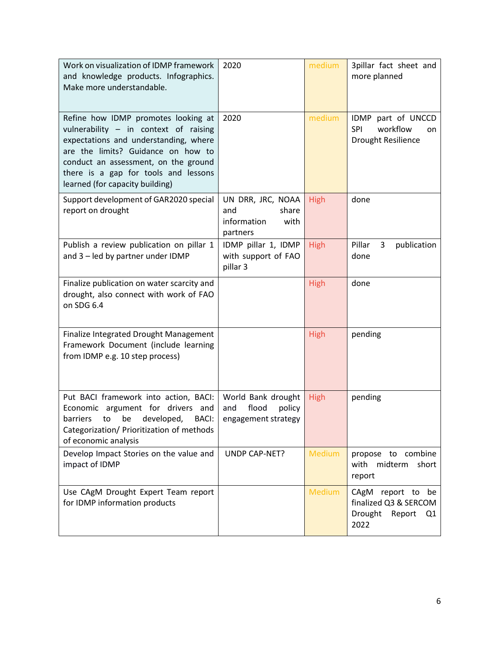| Work on visualization of IDMP framework<br>and knowledge products. Infographics.<br>Make more understandable.                                                                                                                                                                  | 2020                                                                 | medium        | 3pillar fact sheet and<br>more planned                                   |
|--------------------------------------------------------------------------------------------------------------------------------------------------------------------------------------------------------------------------------------------------------------------------------|----------------------------------------------------------------------|---------------|--------------------------------------------------------------------------|
| Refine how IDMP promotes looking at<br>vulnerability - in context of raising<br>expectations and understanding, where<br>are the limits? Guidance on how to<br>conduct an assessment, on the ground<br>there is a gap for tools and lessons<br>learned (for capacity building) | 2020                                                                 | medium        | IDMP part of UNCCD<br>workflow<br><b>SPI</b><br>on<br>Drought Resilience |
| Support development of GAR2020 special<br>report on drought                                                                                                                                                                                                                    | UN DRR, JRC, NOAA<br>and<br>share<br>information<br>with<br>partners | <b>High</b>   | done                                                                     |
| Publish a review publication on pillar 1<br>and 3 - led by partner under IDMP                                                                                                                                                                                                  | IDMP pillar 1, IDMP<br>with support of FAO<br>pillar 3               | <b>High</b>   | Pillar<br>3<br>publication<br>done                                       |
| Finalize publication on water scarcity and<br>drought, also connect with work of FAO<br>on SDG 6.4                                                                                                                                                                             |                                                                      | <b>High</b>   | done                                                                     |
| Finalize Integrated Drought Management<br>Framework Document (include learning<br>from IDMP e.g. 10 step process)                                                                                                                                                              |                                                                      | <b>High</b>   | pending                                                                  |
| Put BACI framework into action, BACI:<br>Economic argument for drivers and<br>barriers<br>developed,<br>be<br>BACI:<br>to<br>Categorization/ Prioritization of methods<br>of economic analysis                                                                                 | World Bank drought<br>flood<br>policy<br>and<br>engagement strategy  | <b>High</b>   | pending                                                                  |
| Develop Impact Stories on the value and<br>impact of IDMP                                                                                                                                                                                                                      | UNDP CAP-NET?                                                        | <b>Medium</b> | propose to combine<br>with midterm short<br>report                       |
| Use CAgM Drought Expert Team report<br>for IDMP information products                                                                                                                                                                                                           |                                                                      | <b>Medium</b> | CAgM report to be<br>finalized Q3 & SERCOM<br>Drought Report Q1<br>2022  |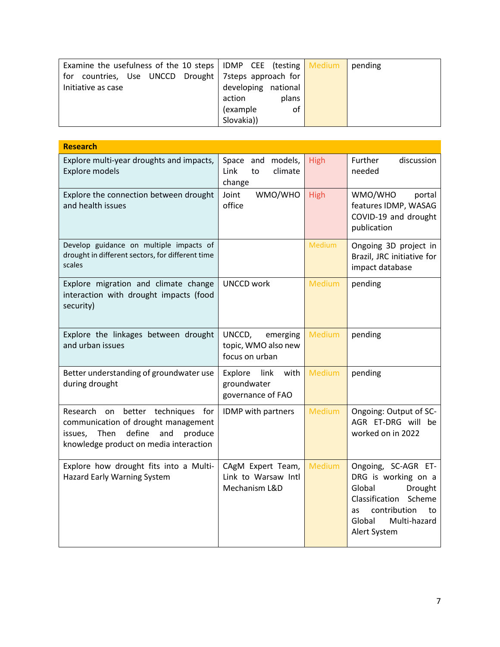| Examine the usefulness of the 10 steps   IDMP CEE (testing $\sqrt{\frac{1}{10}}$ Medium |                     | pending |
|-----------------------------------------------------------------------------------------|---------------------|---------|
| countries, Use UNCCD Drought   7steps approach for<br>for                               |                     |         |
| Initiative as case                                                                      | developing national |         |
|                                                                                         | plans<br>action     |         |
|                                                                                         | of<br>(example      |         |
|                                                                                         | Slovakia))          |         |

| <b>Research</b>                                                                                                                                                               |                                                             |               |                                                                                                                                                                          |
|-------------------------------------------------------------------------------------------------------------------------------------------------------------------------------|-------------------------------------------------------------|---------------|--------------------------------------------------------------------------------------------------------------------------------------------------------------------------|
| Explore multi-year droughts and impacts,<br><b>Explore models</b>                                                                                                             | Space and models,<br>Link<br>climate<br>to<br>change        | <b>High</b>   | Further<br>discussion<br>needed                                                                                                                                          |
| Explore the connection between drought<br>and health issues                                                                                                                   | WMO/WHO<br>Joint<br>office                                  | <b>High</b>   | WMO/WHO<br>portal<br>features IDMP, WASAG<br>COVID-19 and drought<br>publication                                                                                         |
| Develop guidance on multiple impacts of<br>drought in different sectors, for different time<br>scales                                                                         |                                                             | <b>Medium</b> | Ongoing 3D project in<br>Brazil, JRC initiative for<br>impact database                                                                                                   |
| Explore migration and climate change<br>interaction with drought impacts (food<br>security)                                                                                   | <b>UNCCD work</b>                                           | <b>Medium</b> | pending                                                                                                                                                                  |
| Explore the linkages between drought<br>and urban issues                                                                                                                      | UNCCD,<br>emerging<br>topic, WMO also new<br>focus on urban | <b>Medium</b> | pending                                                                                                                                                                  |
| Better understanding of groundwater use<br>during drought                                                                                                                     | Explore<br>with<br>link<br>groundwater<br>governance of FAO | <b>Medium</b> | pending                                                                                                                                                                  |
| techniques<br>Research<br>on<br>better<br>for<br>communication of drought management<br>define<br>produce<br>Then<br>and<br>issues,<br>knowledge product on media interaction | IDMP with partners                                          | <b>Medium</b> | Ongoing: Output of SC-<br>AGR ET-DRG will be<br>worked on in 2022                                                                                                        |
| Explore how drought fits into a Multi-<br>Hazard Early Warning System                                                                                                         | CAgM Expert Team,<br>Link to Warsaw Intl<br>Mechanism L&D   | <b>Medium</b> | Ongoing, SC-AGR ET-<br>DRG is working on a<br>Global<br>Drought<br>Classification<br>Scheme<br>contribution<br>to<br><b>as</b><br>Global<br>Multi-hazard<br>Alert System |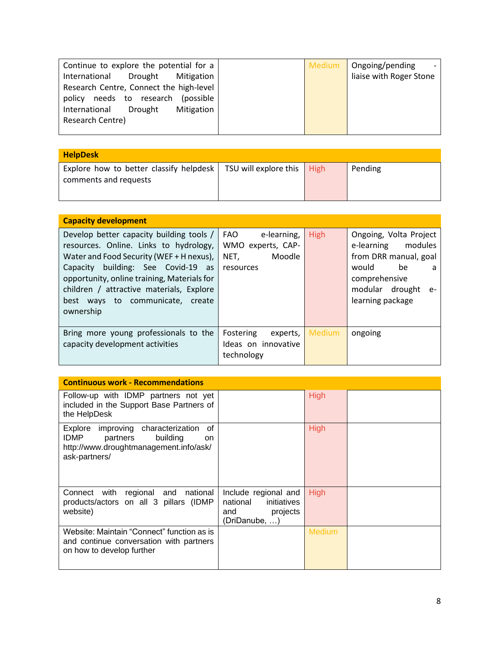| Continue to explore the potential for a   | <b>Medium</b> | Ongoing/pending         |
|-------------------------------------------|---------------|-------------------------|
| International<br>Mitigation<br>Drought    |               | liaise with Roger Stone |
| Research Centre, Connect the high-level   |               |                         |
| needs to research<br>(possible)<br>policy |               |                         |
| Mitigation<br>Drought<br>International    |               |                         |
| Research Centre)                          |               |                         |
|                                           |               |                         |

| <b>HelpDesk</b>                                                  |                       |      |         |  |  |
|------------------------------------------------------------------|-----------------------|------|---------|--|--|
| Explore how to better classify helpdesk<br>comments and requests | TSU will explore this | High | Pending |  |  |

| <b>Capacity development</b>                                                                                                                                                                                                                                                                                      |                                                                        |             |                                                                                                                                                              |
|------------------------------------------------------------------------------------------------------------------------------------------------------------------------------------------------------------------------------------------------------------------------------------------------------------------|------------------------------------------------------------------------|-------------|--------------------------------------------------------------------------------------------------------------------------------------------------------------|
| Develop better capacity building tools /<br>resources. Online. Links to hydrology,<br>Water and Food Security (WEF + H nexus),<br>Capacity building: See Covid-19 as<br>opportunity, online training, Materials for<br>children / attractive materials, Explore<br>best ways to communicate, create<br>ownership | FAO<br>e-learning,<br>WMO experts, CAP-<br>Moodle<br>NET,<br>resources | <b>High</b> | Ongoing, Volta Project<br>modules<br>e-learning<br>from DRR manual, goal<br>would<br>be<br>a<br>comprehensive<br>modular drought<br>$e-$<br>learning package |
| Bring more young professionals to the<br>capacity development activities                                                                                                                                                                                                                                         | Fostering<br>experts,<br>Ideas on innovative<br>technology             | Medium      | ongoing                                                                                                                                                      |

| <b>Continuous work - Recommendations</b>                                                                                                            |                                                                                     |               |  |  |
|-----------------------------------------------------------------------------------------------------------------------------------------------------|-------------------------------------------------------------------------------------|---------------|--|--|
| Follow-up with IDMP partners not yet<br>included in the Support Base Partners of<br>the HelpDesk                                                    |                                                                                     | <b>High</b>   |  |  |
| improving characterization<br>οf<br>Explore<br><b>IDMP</b><br>building<br>partners<br>on<br>http://www.droughtmanagement.info/ask/<br>ask-partners/ |                                                                                     | <b>High</b>   |  |  |
| Connect with regional and national<br>products/actors on all 3 pillars (IDMP<br>website)                                                            | Include regional and<br>initiatives<br>national<br>projects<br>and<br>(DriDanube, ) | <b>High</b>   |  |  |
| Website: Maintain "Connect" function as is<br>and continue conversation with partners<br>on how to develop further                                  |                                                                                     | <b>Medium</b> |  |  |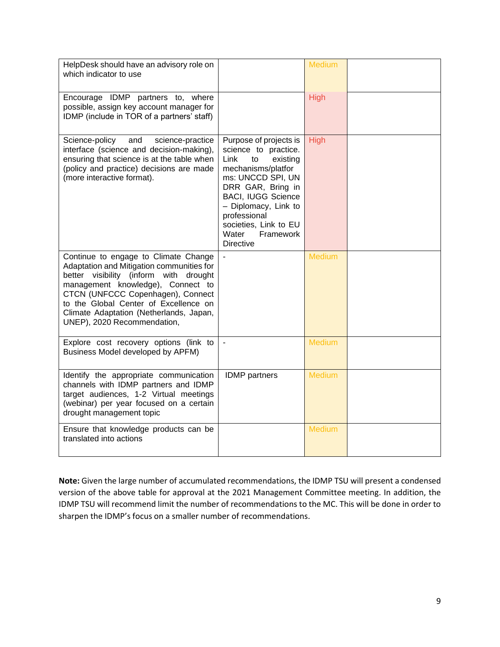| HelpDesk should have an advisory role on<br>which indicator to use                                                                                                                                                                                                                                                       |                                                                                                                                                                                                                                                                                  | <b>Medium</b> |  |
|--------------------------------------------------------------------------------------------------------------------------------------------------------------------------------------------------------------------------------------------------------------------------------------------------------------------------|----------------------------------------------------------------------------------------------------------------------------------------------------------------------------------------------------------------------------------------------------------------------------------|---------------|--|
| Encourage IDMP partners to, where<br>possible, assign key account manager for<br>IDMP (include in TOR of a partners' staff)                                                                                                                                                                                              |                                                                                                                                                                                                                                                                                  | High          |  |
| Science-policy<br>and<br>science-practice<br>interface (science and decision-making),<br>ensuring that science is at the table when<br>(policy and practice) decisions are made<br>(more interactive format).                                                                                                            | Purpose of projects is<br>science to practice.<br>Link<br>existing<br>to<br>mechanisms/platfor<br>ms: UNCCD SPI, UN<br>DRR GAR, Bring in<br><b>BACI, IUGG Science</b><br>- Diplomacy, Link to<br>professional<br>societies, Link to EU<br>Water<br>Framework<br><b>Directive</b> | <b>High</b>   |  |
| Continue to engage to Climate Change<br>Adaptation and Mitigation communities for<br>better visibility (inform with drought<br>management knowledge), Connect to<br>CTCN (UNFCCC Copenhagen), Connect<br>to the Global Center of Excellence on<br>Climate Adaptation (Netherlands, Japan,<br>UNEP), 2020 Recommendation, |                                                                                                                                                                                                                                                                                  | <b>Medium</b> |  |
| Explore cost recovery options (link to<br>Business Model developed by APFM)                                                                                                                                                                                                                                              | $\sim$                                                                                                                                                                                                                                                                           | <b>Medium</b> |  |
| Identify the appropriate communication<br>channels with IDMP partners and IDMP<br>target audiences, 1-2 Virtual meetings<br>(webinar) per year focused on a certain<br>drought management topic                                                                                                                          | <b>IDMP</b> partners                                                                                                                                                                                                                                                             | <b>Medium</b> |  |
| Ensure that knowledge products can be<br>translated into actions                                                                                                                                                                                                                                                         |                                                                                                                                                                                                                                                                                  | <b>Medium</b> |  |

**Note:** Given the large number of accumulated recommendations, the IDMP TSU will present a condensed version of the above table for approval at the 2021 Management Committee meeting. In addition, the IDMP TSU will recommend limit the number of recommendations to the MC. This will be done in order to sharpen the IDMP's focus on a smaller number of recommendations.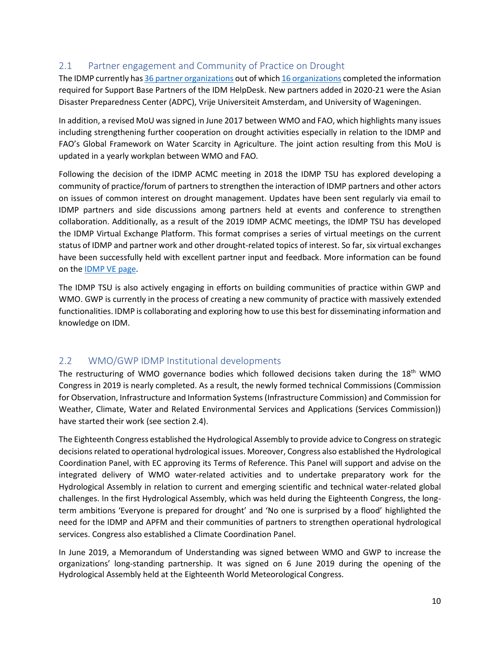## <span id="page-13-0"></span>2.1 Partner engagement and Community of Practice on Drought

The IDMP currently has 36 [partner organizations](http://www.droughtmanagement.info/about/partners/) out of whic[h 16 organizations](https://www.droughtmanagement.info/ask/ask-partners/) completed the information required for Support Base Partners of the IDM HelpDesk. New partners added in 2020-21 were the Asian Disaster Preparedness Center (ADPC), Vrije Universiteit Amsterdam, and University of Wageningen.

In addition, a revised MoU was signed in June 2017 between WMO and FAO, which highlights many issues including strengthening further cooperation on drought activities especially in relation to the IDMP and FAO's Global Framework on Water Scarcity in Agriculture. The joint action resulting from this MoU is updated in a yearly workplan between WMO and FAO.

Following the decision of the IDMP ACMC meeting in 2018 the IDMP TSU has explored developing a community of practice/forum of partners to strengthen the interaction of IDMP partners and other actors on issues of common interest on drought management. Updates have been sent regularly via email to IDMP partners and side discussions among partners held at events and conference to strengthen collaboration. Additionally, as a result of the 2019 IDMP ACMC meetings, the IDMP TSU has developed the IDMP Virtual Exchange Platform. This format comprises a series of virtual meetings on the current status of IDMP and partner work and other drought-related topics of interest. So far, six virtual exchanges have been successfully held with excellent partner input and feedback. More information can be found on th[e IDMP VE page.](https://www.droughtmanagement.info/about/virtual-exchange-platform/)

The IDMP TSU is also actively engaging in efforts on building communities of practice within GWP and WMO. GWP is currently in the process of creating a new community of practice with massively extended functionalities. IDMP is collaborating and exploring how to use this best for disseminating information and knowledge on IDM.

## <span id="page-13-1"></span>2.2 WMO/GWP IDMP Institutional developments

The restructuring of WMO governance bodies which followed decisions taken during the  $18<sup>th</sup>$  WMO Congress in 2019 is nearly completed. As a result, the newly formed technical Commissions (Commission for Observation, Infrastructure and Information Systems (Infrastructure Commission) and Commission for Weather, Climate, Water and Related Environmental Services and Applications (Services Commission)) have started their work (see section 2.4).

The Eighteenth Congress established the Hydrological Assembly to provide advice to Congress on strategic decisions related to operational hydrological issues. Moreover, Congress also established the Hydrological Coordination Panel, with EC approving its Terms of Reference. This Panel will support and advise on the integrated delivery of WMO water-related activities and to undertake preparatory work for the Hydrological Assembly in relation to current and emerging scientific and technical water-related global challenges. In the first Hydrological Assembly, which was held during the Eighteenth Congress, the longterm ambitions 'Everyone is prepared for drought' and 'No one is surprised by a flood' highlighted the need for the IDMP and APFM and their communities of partners to strengthen operational hydrological services. Congress also established a Climate Coordination Panel.

In June 2019, a Memorandum of Understanding was signed between WMO and GWP to increase the organizations' long-standing partnership. It was signed on 6 June 2019 during the opening of the Hydrological Assembly held at the Eighteenth World Meteorological Congress.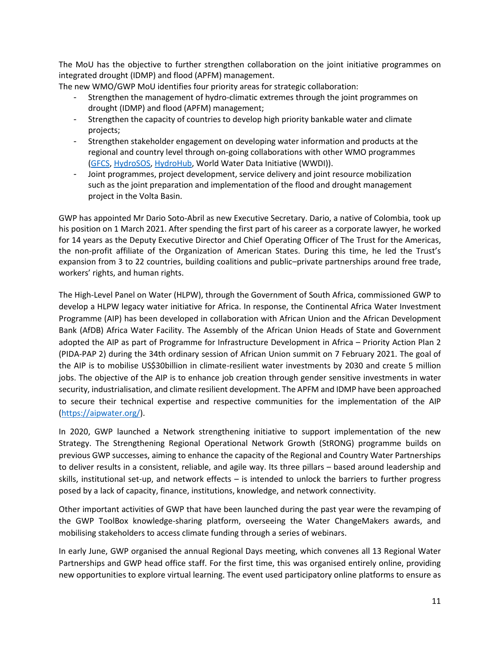The MoU has the objective to further strengthen collaboration on the joint initiative programmes on integrated drought (IDMP) and flood (APFM) management.

The new WMO/GWP MoU identifies four priority areas for strategic collaboration:

- Strengthen the management of hydro-climatic extremes through the joint programmes on drought (IDMP) and flood (APFM) management;
- Strengthen the capacity of countries to develop high priority bankable water and climate projects;
- Strengthen stakeholder engagement on developing water information and products at the regional and country level through on-going collaborations with other WMO programmes [\(GFCS,](https://gfcs.wmo.int/) [HydroSOS,](https://www.wmo.int/pages/prog/hwrp/chy/hydrosos/index.php) [HydroHub,](https://hydrohub.wmo.int/en/home) World Water Data Initiative (WWDI)).
- Joint programmes, project development, service delivery and joint resource mobilization such as the joint preparation and implementation of the flood and drought management project in the Volta Basin.

GWP has appointed Mr Dario Soto-Abril as new Executive Secretary. Dario, a native of Colombia, took up his position on 1 March 2021. After spending the first part of his career as a corporate lawyer, he worked for 14 years as the Deputy Executive Director and Chief Operating Officer of The Trust for the Americas, the non-profit affiliate of the Organization of American States. During this time, he led the Trust's expansion from 3 to 22 countries, building coalitions and public–private partnerships around free trade, workers' rights, and human rights.

The High-Level Panel on Water (HLPW), through the Government of South Africa, commissioned GWP to develop a HLPW legacy water initiative for Africa. In response, the Continental Africa Water Investment Programme (AIP) has been developed in collaboration with African Union and the African Development Bank (AfDB) Africa Water Facility. The Assembly of the African Union Heads of State and Government adopted the AIP as part of Programme for Infrastructure Development in Africa – Priority Action Plan 2 (PIDA-PAP 2) during the 34th ordinary session of African Union summit on 7 February 2021. The goal of the AIP is to mobilise US\$30billion in climate-resilient water investments by 2030 and create 5 million jobs. The objective of the AIP is to enhance job creation through gender sensitive investments in water security, industrialisation, and climate resilient development. The APFM and IDMP have been approached to secure their technical expertise and respective communities for the implementation of the AIP [\(https://aipwater.org/\)](https://aipwater.org/).

In 2020, GWP launched a Network strengthening initiative to support implementation of the new Strategy. The Strengthening Regional Operational Network Growth (StRONG) programme builds on previous GWP successes, aiming to enhance the capacity of the Regional and Country Water Partnerships to deliver results in a consistent, reliable, and agile way. Its three pillars – based around leadership and skills, institutional set-up, and network effects – is intended to unlock the barriers to further progress posed by a lack of capacity, finance, institutions, knowledge, and network connectivity.

Other important activities of GWP that have been launched during the past year were the revamping of the GWP ToolBox knowledge-sharing platform, overseeing the Water ChangeMakers awards, and mobilising stakeholders to access climate funding through a series of webinars.

In early June, GWP organised the annual Regional Days meeting, which convenes all 13 Regional Water Partnerships and GWP head office staff. For the first time, this was organised entirely online, providing new opportunities to explore virtual learning. The event used participatory online platforms to ensure as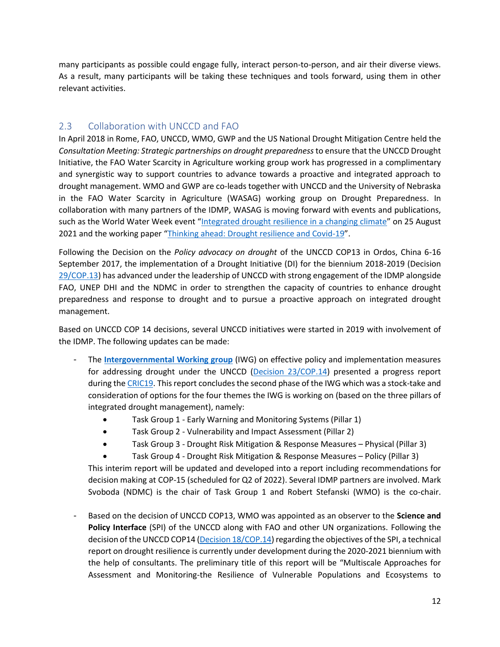many participants as possible could engage fully, interact person-to-person, and air their diverse views. As a result, many participants will be taking these techniques and tools forward, using them in other relevant activities.

## <span id="page-15-0"></span>2.3 Collaboration with UNCCD and FAO

In April 2018 in Rome, FAO, UNCCD, WMO, GWP and the US National Drought Mitigation Centre held the *Consultation Meeting: Strategic partnerships on drought preparedness* to ensure that the UNCCD Drought Initiative, the FAO Water Scarcity in Agriculture working group work has progressed in a complimentary and synergistic way to support countries to advance towards a proactive and integrated approach to drought management. WMO and GWP are co-leads together with UNCCD and the University of Nebraska in the FAO Water Scarcity in Agriculture (WASAG) working group on Drought Preparedness. In collaboration with many partners of the IDMP, WASAG is moving forward with events and publications, such as the World Water Week event "[Integrated drought resilience in a changing climate](https://youtu.be/kJH7gacsZyk)" on 25 August 2021 and the working paper "[Thinking ahead: Drought resilience and Covid-19](http://www.fao.org/3/cb5547en/cb5547en.pdf)".

Following the Decision on the *Policy advocacy on drought* of the UNCCD COP13 in Ordos, China 6-16 September 2017, the implementation of a Drought Initiative (DI) for the biennium 2018-2019 (Decision [29/COP.13\)](https://www.unccd.int/sites/default/files/sessions/documents/2017-09/ICCD_COP(13)_L.20-1716100E.pdf) has advanced under the leadership of UNCCD with strong engagement of the IDMP alongside FAO, UNEP DHI and the NDMC in order to strengthen the capacity of countries to enhance drought preparedness and response to drought and to pursue a proactive approach on integrated drought management.

Based on UNCCD COP 14 decisions, several UNCCD initiatives were started in 2019 with involvement of the IDMP. The following updates can be made:

- The **[Intergovernmental Working group](https://www.unccd.int/issuesland-drought/intergovernmental-working-group-drought)** (IWG) on effective policy and implementation measures for addressing drought under the UNCCD [\(Decision 23/COP.14\)](https://www.unccd.int/sites/default/files/sessions/documents/2019-12/ICCD_COP%2814%29_23_Add.1-1918355E.pdf) presented a progress report during the [CRIC19.](https://www.unccd.int/conventioncommittee-review-implementation-convention-cric/cric19-15-19-march-2021-online) This report concludes the second phase of the IWG which was a stock-take and consideration of options for the four themes the IWG is working on (based on the three pillars of integrated drought management), namely:
	- Task Group 1 Early Warning and Monitoring Systems (Pillar 1)
	- Task Group 2 Vulnerability and Impact Assessment (Pillar 2)
	- Task Group 3 Drought Risk Mitigation & Response Measures Physical (Pillar 3)
	- Task Group 4 Drought Risk Mitigation & Response Measures Policy (Pillar 3)

This interim report will be updated and developed into a report including recommendations for decision making at COP-15 (scheduled for Q2 of 2022). Several IDMP partners are involved. Mark Svoboda (NDMC) is the chair of Task Group 1 and Robert Stefanski (WMO) is the co-chair.

- Based on the decision of UNCCD COP13, WMO was appointed as an observer to the **Science and Policy Interface** (SPI) of the UNCCD along with FAO and other UN organizations. Following the decision of the UNCCD COP14 [\(Decision 18/COP.14\)](https://www.unccd.int/sites/default/files/sessions/documents/2019-12/ICCD_COP%2814%29_23_Add.1-1918355E.pdf) regarding the objectives of the SPI, a technical report on drought resilience is currently under development during the 2020-2021 biennium with the help of consultants. The preliminary title of this report will be "Multiscale Approaches for Assessment and Monitoring-the Resilience of Vulnerable Populations and Ecosystems to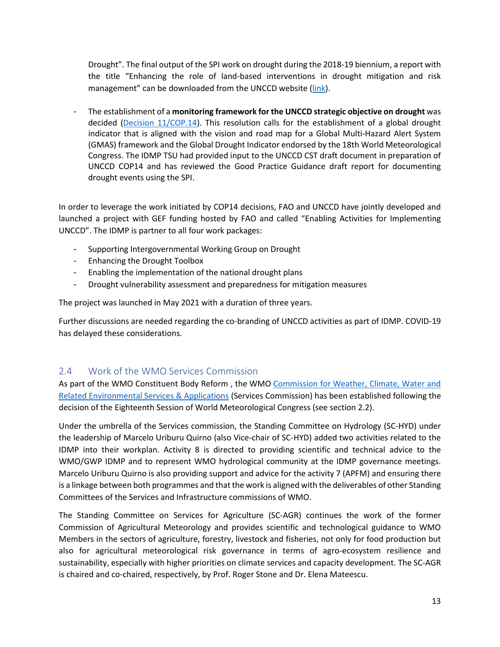Drought". The final output of the SPI work on drought during the 2018-19 biennium, a report with the title "Enhancing the role of land-based interventions in drought mitigation and risk management" can be downloaded from the UNCCD website [\(link\)](https://knowledge.unccd.int/publication/land-drought-nexus-enhancing-role-land-based-interventions-drought-mitigation-and-risk).

- The establishment of a **monitoring framework for the UNCCD strategic objective on drought** was decided [\(Decision 11/COP.14\)](https://www.unccd.int/sites/default/files/sessions/documents/2019-12/ICCD_COP%2814%29_23_Add.1-1918355E.pdf). This resolution calls for the establishment of a global drought indicator that is aligned with the vision and road map for a Global Multi-Hazard Alert System (GMAS) framework and the Global Drought Indicator endorsed by the 18th World Meteorological Congress. The IDMP TSU had provided input to the UNCCD CST draft document in preparation of UNCCD COP14 and has reviewed the Good Practice Guidance draft report for documenting drought events using the SPI.

In order to leverage the work initiated by COP14 decisions, FAO and UNCCD have jointly developed and launched a project with GEF funding hosted by FAO and called "Enabling Activities for Implementing UNCCD". The IDMP is partner to all four work packages:

- Supporting Intergovernmental Working Group on Drought
- Enhancing the Drought Toolbox
- Enabling the implementation of the national drought plans
- Drought vulnerability assessment and preparedness for mitigation measures

The project was launched in May 2021 with a duration of three years.

Further discussions are needed regarding the co-branding of UNCCD activities as part of IDMP. COVID-19 has delayed these considerations.

## <span id="page-16-0"></span>2.4 Work of the WMO Services Commission

As part of the WMO Constituent Body Reform , the WMO [Commission for Weather, Climate, Water and](https://public.wmo.int/en/governance-reform/services-commission)  [Related Environmental Services & Applications](https://public.wmo.int/en/governance-reform/services-commission) (Services Commission) has been established following the decision of the Eighteenth Session of World Meteorological Congress (see section 2.2).

Under the umbrella of the Services commission, the Standing Committee on Hydrology (SC-HYD) under the leadership of Marcelo Uriburu Quirno (also Vice-chair of SC-HYD) added two activities related to the IDMP into their workplan. Activity 8 is directed to providing scientific and technical advice to the WMO/GWP IDMP and to represent WMO hydrological community at the IDMP governance meetings. Marcelo Uriburu Quirno is also providing support and advice for the activity 7 (APFM) and ensuring there is a linkage between both programmes and that the work is aligned with the deliverables of other Standing Committees of the Services and Infrastructure commissions of WMO.

The Standing Committee on Services for Agriculture (SC-AGR) continues the work of the former Commission of Agricultural Meteorology and provides scientific and technological guidance to WMO Members in the sectors of agriculture, forestry, livestock and fisheries, not only for food production but also for agricultural meteorological risk governance in terms of agro-ecosystem resilience and sustainability, especially with higher priorities on climate services and capacity development. The SC-AGR is chaired and co-chaired, respectively, by Prof. Roger Stone and Dr. Elena Mateescu.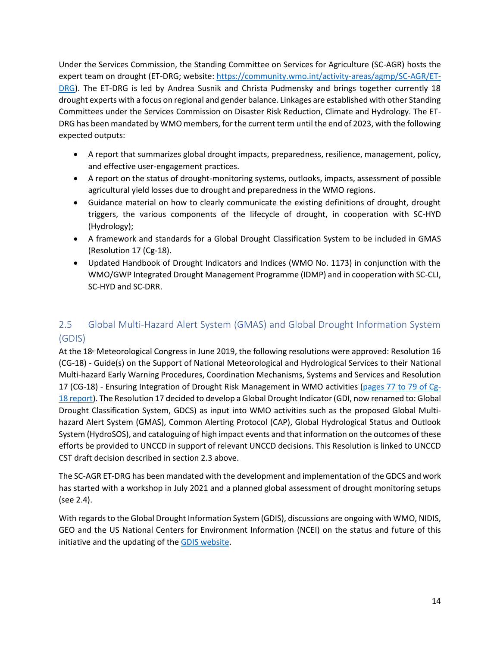Under the Services Commission, the Standing Committee on Services for Agriculture (SC-AGR) hosts the expert team on drought (ET-DRG; website: [https://community.wmo.int/activity-areas/agmp/SC-AGR/ET-](https://community.wmo.int/activity-areas/agmp/SC-AGR/ET-DRG)[DRG\)](https://community.wmo.int/activity-areas/agmp/SC-AGR/ET-DRG). The ET-DRG is led by Andrea Susnik and Christa Pudmensky and brings together currently 18 drought experts with a focus on regional and gender balance. Linkages are established with other Standing Committees under the Services Commission on Disaster Risk Reduction, Climate and Hydrology. The ET-DRG has been mandated by WMO members, for the current term until the end of 2023, with the following expected outputs:

- A report that summarizes global drought impacts, preparedness, resilience, management, policy, and effective user-engagement practices.
- A report on the status of drought-monitoring systems, outlooks, impacts, assessment of possible agricultural yield losses due to drought and preparedness in the WMO regions.
- Guidance material on how to clearly communicate the existing definitions of drought, drought triggers, the various components of the lifecycle of drought, in cooperation with SC-HYD (Hydrology);
- A framework and standards for a Global Drought Classification System to be included in GMAS (Resolution 17 (Cg-18).
- Updated Handbook of Drought Indicators and Indices (WMO No. 1173) in conjunction with the WMO/GWP Integrated Drought Management Programme (IDMP) and in cooperation with SC-CLI, SC-HYD and SC-DRR.

## <span id="page-17-0"></span>2.5 Global Multi-Hazard Alert System (GMAS) and Global Drought Information System (GDIS)

At the 18<sup>th</sup> Meteorological Congress in June 2019, the following resolutions were approved: Resolution 16 (CG-18) - Guide(s) on the Support of National Meteorological and Hydrological Services to their National Multi-hazard Early Warning Procedures, Coordination Mechanisms, Systems and Services and Resolution 17 (CG-18) - Ensuring Integration of Drought Risk Management in WMO activities [\(pages 77 to 79 of Cg-](https://library.wmo.int/doc_num.php?explnum_id=9827)[18 report\)](https://library.wmo.int/doc_num.php?explnum_id=9827). The Resolution 17 decided to develop a Global Drought Indicator (GDI, now renamed to: Global Drought Classification System, GDCS) as input into WMO activities such as the proposed Global Multihazard Alert System (GMAS), Common Alerting Protocol (CAP), Global Hydrological Status and Outlook System (HydroSOS), and cataloguing of high impact events and that information on the outcomes of these efforts be provided to UNCCD in support of relevant UNCCD decisions. This Resolution is linked to UNCCD CST draft decision described in section 2.3 above.

The SC-AGR ET-DRG has been mandated with the development and implementation of the GDCS and work has started with a workshop in July 2021 and a planned global assessment of drought monitoring setups (see 2.4).

With regards to the Global Drought Information System (GDIS), discussions are ongoing with WMO, NIDIS, GEO and the US National Centers for Environment Information (NCEI) on the status and future of this initiative and the updating of th[e GDIS website.](https://www.drought.gov/gdm/)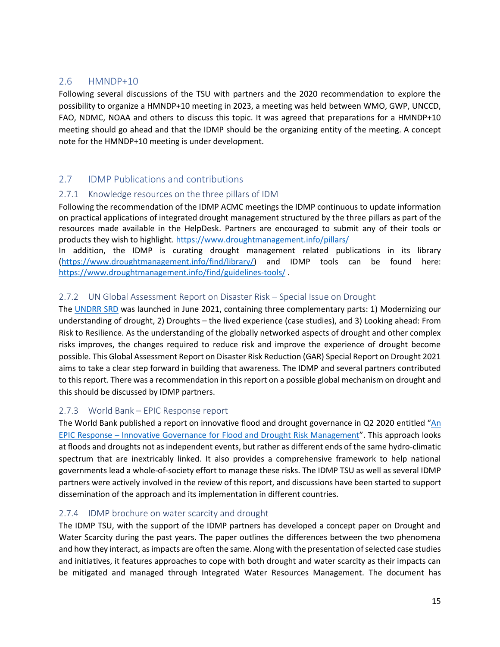## <span id="page-18-0"></span>2.6 HMNDP+10

Following several discussions of the TSU with partners and the 2020 recommendation to explore the possibility to organize a HMNDP+10 meeting in 2023, a meeting was held between WMO, GWP, UNCCD, FAO, NDMC, NOAA and others to discuss this topic. It was agreed that preparations for a HMNDP+10 meeting should go ahead and that the IDMP should be the organizing entity of the meeting. A concept note for the HMNDP+10 meeting is under development.

## <span id="page-18-1"></span>2.7 IDMP Publications and contributions

#### <span id="page-18-2"></span>2.7.1 Knowledge resources on the three pillars of IDM

Following the recommendation of the IDMP ACMC meetings the IDMP continuous to update information on practical applications of integrated drought management structured by the three pillars as part of the resources made available in the HelpDesk. Partners are encouraged to submit any of their tools or products they wish to highlight[. https://www.droughtmanagement.info/pillars/](https://www.droughtmanagement.info/pillars/)

In addition, the IDMP is curating drought management related publications in its library [\(https://www.droughtmanagement.info/find/library/\)](https://www.droughtmanagement.info/find/library/) and IDMP tools can be found here: <https://www.droughtmanagement.info/find/guidelines-tools/> .

#### <span id="page-18-3"></span>2.7.2 UN Global Assessment Report on Disaster Risk – Special Issue on Drought

The [UNDRR SRD](https://www.droughtmanagement.info/literature/UN-GAR_Specia_Report_on_Drought_2021.pdf) was launched in June 2021, containing three complementary parts: 1) Modernizing our understanding of drought, 2) Droughts – the lived experience (case studies), and 3) Looking ahead: From Risk to Resilience. As the understanding of the globally networked aspects of drought and other complex risks improves, the changes required to reduce risk and improve the experience of drought become possible. This Global Assessment Report on Disaster Risk Reduction (GAR) Special Report on Drought 2021 aims to take a clear step forward in building that awareness. The IDMP and several partners contributed to this report. There was a recommendation in this report on a possible global mechanism on drought and this should be discussed by IDMP partners.

#### <span id="page-18-4"></span>2.7.3 World Bank – EPIC Response report

The World Bank published a report on innovative flood and drought governance in Q2 2020 entitled "[An](https://www.droughtmanagement.info/literature/WB-An-EPIC-response_Innovative-governance-for-flood-and-drought-risk-management-2021.pdf)  EPIC Response – [Innovative Governance for Flood and Drought Risk Management](https://www.droughtmanagement.info/literature/WB-An-EPIC-response_Innovative-governance-for-flood-and-drought-risk-management-2021.pdf)". This approach looks at floods and droughts not as independent events, but rather as different ends of the same hydro-climatic spectrum that are inextricably linked. It also provides a comprehensive framework to help national governments lead a whole-of-society effort to manage these risks. The IDMP TSU as well as several IDMP partners were actively involved in the review of this report, and discussions have been started to support dissemination of the approach and its implementation in different countries.

#### <span id="page-18-5"></span>2.7.4 IDMP brochure on water scarcity and drought

The IDMP TSU, with the support of the IDMP partners has developed a concept paper on Drought and Water Scarcity during the past years. The paper outlines the differences between the two phenomena and how they interact, as impacts are often the same. Along with the presentation of selected case studies and initiatives, it features approaches to cope with both drought and water scarcity as their impacts can be mitigated and managed through Integrated Water Resources Management. The document has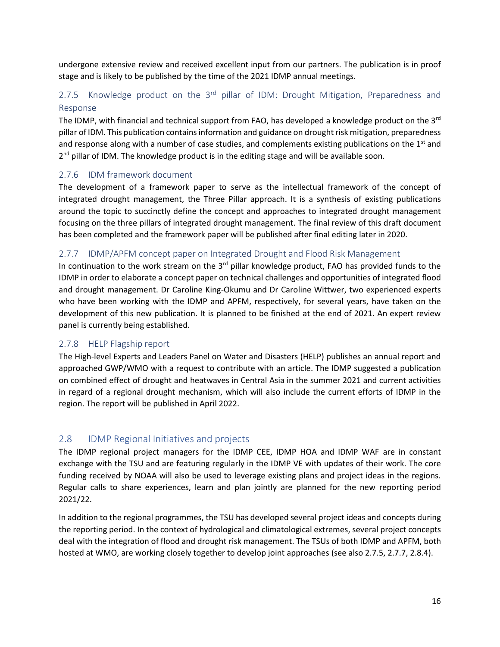undergone extensive review and received excellent input from our partners. The publication is in proof stage and is likely to be published by the time of the 2021 IDMP annual meetings.

## <span id="page-19-0"></span>2.7.5 Knowledge product on the  $3<sup>rd</sup>$  pillar of IDM: Drought Mitigation, Preparedness and Response

The IDMP, with financial and technical support from FAO, has developed a knowledge product on the 3<sup>rd</sup> pillar of IDM. This publication contains information and guidance on drought risk mitigation, preparedness and response along with a number of case studies, and complements existing publications on the  $1<sup>st</sup>$  and 2<sup>nd</sup> pillar of IDM. The knowledge product is in the editing stage and will be available soon.

#### <span id="page-19-1"></span>2.7.6 IDM framework document

The development of a framework paper to serve as the intellectual framework of the concept of integrated drought management, the Three Pillar approach. It is a synthesis of existing publications around the topic to succinctly define the concept and approaches to integrated drought management focusing on the three pillars of integrated drought management. The final review of this draft document has been completed and the framework paper will be published after final editing later in 2020.

#### <span id="page-19-2"></span>2.7.7 IDMP/APFM concept paper on Integrated Drought and Flood Risk Management

In continuation to the work stream on the  $3<sup>rd</sup>$  pillar knowledge product, FAO has provided funds to the IDMP in order to elaborate a concept paper on technical challenges and opportunities of integrated flood and drought management. Dr Caroline King-Okumu and Dr Caroline Wittwer, two experienced experts who have been working with the IDMP and APFM, respectively, for several years, have taken on the development of this new publication. It is planned to be finished at the end of 2021. An expert review panel is currently being established.

#### <span id="page-19-3"></span>2.7.8 HELP Flagship report

The High-level Experts and Leaders Panel on Water and Disasters (HELP) publishes an annual report and approached GWP/WMO with a request to contribute with an article. The IDMP suggested a publication on combined effect of drought and heatwaves in Central Asia in the summer 2021 and current activities in regard of a regional drought mechanism, which will also include the current efforts of IDMP in the region. The report will be published in April 2022.

## <span id="page-19-4"></span>2.8 IDMP Regional Initiatives and projects

The IDMP regional project managers for the IDMP CEE, IDMP HOA and IDMP WAF are in constant exchange with the TSU and are featuring regularly in the IDMP VE with updates of their work. The core funding received by NOAA will also be used to leverage existing plans and project ideas in the regions. Regular calls to share experiences, learn and plan jointly are planned for the new reporting period 2021/22.

In addition to the regional programmes, the TSU has developed several project ideas and concepts during the reporting period. In the context of hydrological and climatological extremes, several project concepts deal with the integration of flood and drought risk management. The TSUs of both IDMP and APFM, both hosted at WMO, are working closely together to develop joint approaches (see also 2.7.5, 2.7.7, 2.8.4).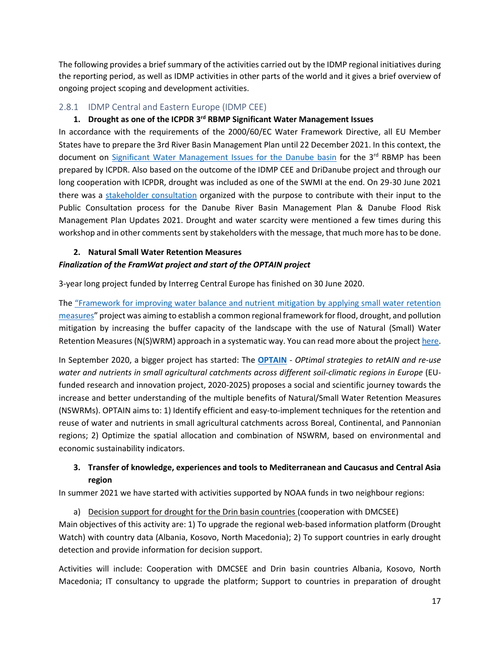The following provides a brief summary of the activities carried out by the IDMP regional initiatives during the reporting period, as well as IDMP activities in other parts of the world and it gives a brief overview of ongoing project scoping and development activities.

#### <span id="page-20-0"></span>2.8.1 IDMP Central and Eastern Europe (IDMP CEE)

#### **1. Drought as one of the ICPDR 3 rd RBMP Significant Water Management Issues**

In accordance with the requirements of the 2000/60/EC Water Framework Directive, all EU Member States have to prepare the 3rd River Basin Management Plan until 22 December 2021. In this context, the document on [Significant Water Management Issues for the Danube basin](https://www.icpdr.org/flowpaper/viewer/default/files/nodes/documents/ic_220_interim_overview_swmi_final_19122019.pdf) for the 3<sup>rd</sup> RBMP has been prepared by ICPDR. Also based on the outcome of the IDMP CEE and DriDanube project and through our long cooperation with ICPDR, drought was included as one of the SWMI at the end. On 29-30 June 2021 there was a [stakeholder consultation](https://www.icpdr.org/main/activities-projects/stakeholder-consultation-workshop-our-opinion-our-danube) organized with the purpose to contribute with their input to the Public Consultation process for the Danube River Basin Management Plan & Danube Flood Risk Management Plan Updates 2021. Drought and water scarcity were mentioned a few times during this workshop and in other comments sent by stakeholders with the message, that much more has to be done.

#### **2. Natural Small Water Retention Measures**

#### *Finalization of the FramWat project and start of the OPTAIN project*

3-year long project funded by Interreg Central Europe has finished on 30 June 2020.

The ["Framework for improving water balance and nutrient](https://www.interreg-central.eu/Content.Node/FramWat.html) mitigation by applying small water retention [measures](https://www.interreg-central.eu/Content.Node/FramWat.html)" project was aiming to establish a common regional framework for flood, drought, and pollution mitigation by increasing the buffer capacity of the landscape with the use of Natural (Small) Water Retention Measures (N(S)WRM) approach in a systematic way. You can read more about the project [here.](https://www.interreg-central.eu/Content.Node/FramWat.html)

In September 2020, a bigger project has started: The **[OPTAIN](https://www.optain.eu/)** - *OPtimal strategies to retAIN and re-use water and nutrients in small agricultural catchments across different soil-climatic regions in Europe* (EUfunded research and innovation project, 2020-2025) proposes a social and scientific journey towards the increase and better understanding of the multiple benefits of Natural/Small Water Retention Measures (NSWRMs). OPTAIN aims to: 1) Identify efficient and easy-to-implement techniques for the retention and reuse of water and nutrients in small agricultural catchments across Boreal, Continental, and Pannonian regions; 2) Optimize the spatial allocation and combination of NSWRM, based on environmental and economic sustainability indicators.

## **3. Transfer of knowledge, experiences and tools to Mediterranean and Caucasus and Central Asia region**

In summer 2021 we have started with activities supported by NOAA funds in two neighbour regions:

a) Decision support for drought for the Drin basin countries (cooperation with DMCSEE) Main objectives of this activity are: 1) To upgrade the regional web-based information platform (Drought Watch) with country data (Albania, Kosovo, North Macedonia); 2) To support countries in early drought detection and provide information for decision support.

Activities will include: Cooperation with DMCSEE and Drin basin countries Albania, Kosovo, North Macedonia; IT consultancy to upgrade the platform; Support to countries in preparation of drought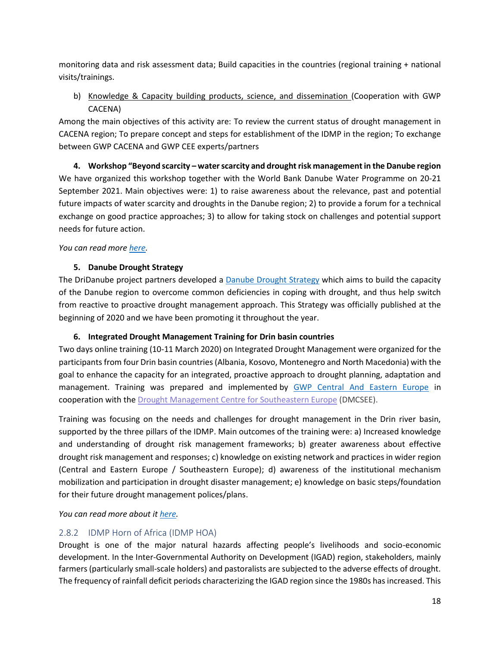monitoring data and risk assessment data; Build capacities in the countries (regional training + national visits/trainings.

b) Knowledge & Capacity building products, science, and dissemination (Cooperation with GWP CACENA)

Among the main objectives of this activity are: To review the current status of drought management in CACENA region; To prepare concept and steps for establishment of the IDMP in the region; To exchange between GWP CACENA and GWP CEE experts/partners

**4. Workshop "Beyond scarcity – water scarcity and drought risk management in the Danube region**  We have organized this workshop together with the World Bank Danube Water Programme on 20-21 September 2021. Main objectives were: 1) to raise awareness about the relevance, past and potential future impacts of water scarcity and droughts in the Danube region; 2) to provide a forum for a technical exchange on good practice approaches; 3) to allow for taking stock on challenges and potential support needs for future action.

*You can read more [here.](https://www.iawd.at/eng/event/672/details/w/0/beyond-scarcity-water-scarcity-and-drought-risk-management-in-the-danube-region/)* 

#### **5. Danube Drought Strategy**

The DriDanube project partners developed a [Danube Drought Strategy](http://www.interreg-danube.eu/uploads/media/approved_project_output/0001/38/0363f7bdde74184f0f372bc04744650d46445c49.pdf) which aims to build the capacity of the Danube region to overcome common deficiencies in coping with drought, and thus help switch from reactive to proactive drought management approach. This Strategy was officially published at the beginning of 2020 and we have been promoting it throughout the year.

## **6. Integrated Drought Management Training for Drin basin countries**

Two days online training (10-11 March 2020) on Integrated Drought Management were organized for the participants from four Drin basin countries (Albania, Kosovo, Montenegro and North Macedonia) with the goal to enhance the capacity for an integrated, proactive approach to drought planning, adaptation and management. Training was prepared and implemented by [GWP Central And Eastern Europe](https://www.gwp.org/en/GWP-CEE/) in cooperation with the [Drought Management Centre for Southeastern Europe](http://www.dmcsee.org/) (DMCSEE).

Training was focusing on the needs and challenges for drought management in the Drin river basin, supported by the three pillars of the [IDMP.](https://www.droughtmanagement.info/) Main outcomes of the training were: a) Increased knowledge and understanding of drought risk management frameworks; b) greater awareness about effective drought risk management and responses; c) knowledge on existing network and practices in wider region (Central and Eastern Europe / Southeastern Europe); d) awareness of the institutional mechanism mobilization and participation in drought disaster management; e) knowledge on basic [steps/](https://www.droughtmanagement.info/literature/IDMP_NDMPG_en.pdf)foundation for their future drought management polices/plans.

*You can read more about i[t here.](https://www.gwp.org/en/GWP-CEE/WE-ACT/news/2020/integrated-drought-management-training-for-drin-basin-countries/)*

## <span id="page-21-0"></span>2.8.2 IDMP Horn of Africa (IDMP HOA)

Drought is one of the major natural hazards affecting people's livelihoods and socio-economic development. In the Inter-Governmental Authority on Development (IGAD) region, stakeholders, mainly farmers (particularly small-scale holders) and pastoralists are subjected to the adverse effects of drought. The frequency of rainfall deficit periods characterizing the IGAD region since the 1980s has increased. This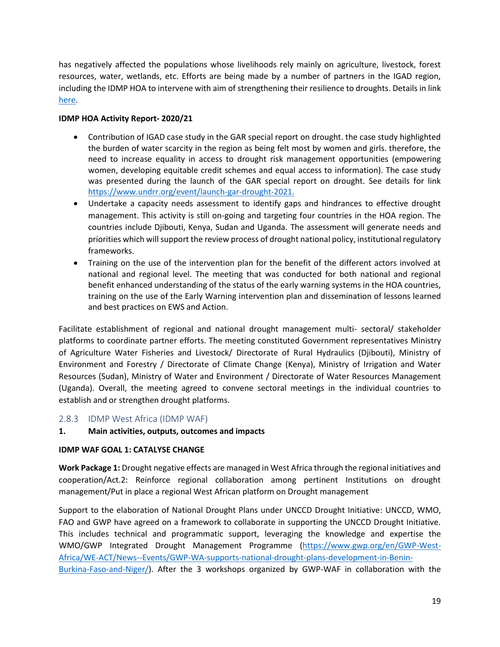has negatively affected the populations whose livelihoods rely mainly on agriculture, livestock, forest resources, water, wetlands, etc. Efforts are being made by a number of partners in the IGAD region, including the IDMP HOA to intervene with aim of strengthening their resilience to droughts. Details in link [here.](https://www.adaptation-fund.org/project/djibouti-kenya-sudan-and-uganda-strengthening-drought-resilience-for-small-holder-farmers-and-pastoralists-in-the-igad-region/)

#### **IDMP HOA Activity Report- 2020/21**

- Contribution of IGAD case study in the GAR special report on drought. the case study highlighted the burden of water scarcity in the region as being felt most by women and girls. therefore, the need to increase equality in access to drought risk management opportunities (empowering women, developing equitable credit schemes and equal access to information). The case study was presented during the launch of the GAR special report on drought. See details for link [https://www.undrr.org/event/launch-gar-drought-2021.](https://www.undrr.org/event/launch-gar-drought-2021)
- Undertake a capacity needs assessment to identify gaps and hindrances to effective drought management. This activity is still on-going and targeting four countries in the HOA region. The countries include Djibouti, Kenya, Sudan and Uganda. The assessment will generate needs and priorities which will support the review process of drought national policy, institutional regulatory frameworks.
- Training on the use of the intervention plan for the benefit of the different actors involved at national and regional level. The meeting that was conducted for both national and regional benefit enhanced understanding of the status of the early warning systems in the HOA countries, training on the use of the Early Warning intervention plan and dissemination of lessons learned and best practices on EWS and Action.

Facilitate establishment of regional and national drought management multi- sectoral/ stakeholder platforms to coordinate partner efforts. The meeting constituted Government representatives Ministry of Agriculture Water Fisheries and Livestock/ Directorate of Rural Hydraulics (Djibouti), Ministry of Environment and Forestry / Directorate of Climate Change (Kenya), Ministry of Irrigation and Water Resources (Sudan), Ministry of Water and Environment / Directorate of Water Resources Management (Uganda). Overall, the meeting agreed to convene sectoral meetings in the individual countries to establish and or strengthen drought platforms.

#### <span id="page-22-0"></span>2.8.3 IDMP West Africa (IDMP WAF)

#### **1. Main activities, outputs, outcomes and impacts**

#### **IDMP WAF GOAL 1: CATALYSE CHANGE**

**Work Package 1:** Drought negative effects are managed in West Africa through the regional initiatives and cooperation/Act.2: Reinforce regional collaboration among pertinent Institutions on drought management/Put in place a regional West African platform on Drought management

Support to the elaboration of National Drought Plans under UNCCD Drought Initiative: UNCCD, WMO, FAO and GWP have agreed on a framework to collaborate in supporting the UNCCD Drought Initiative. This includes technical and programmatic support, leveraging the knowledge and expertise the WMO/GWP Integrated Drought Management Programme [\(https://www.gwp.org/en/GWP-West-](https://www.gwp.org/en/GWP-West-Africa/WE-ACT/News--Events/GWP-WA-supports-national-drought-plans-development-in-Benin-Burkina-Faso-and-Niger/)[Africa/WE-ACT/News--Events/GWP-WA-supports-national-drought-plans-development-in-Benin-](https://www.gwp.org/en/GWP-West-Africa/WE-ACT/News--Events/GWP-WA-supports-national-drought-plans-development-in-Benin-Burkina-Faso-and-Niger/)[Burkina-Faso-and-Niger/\)](https://www.gwp.org/en/GWP-West-Africa/WE-ACT/News--Events/GWP-WA-supports-national-drought-plans-development-in-Benin-Burkina-Faso-and-Niger/). After the 3 workshops organized by GWP-WAF in collaboration with the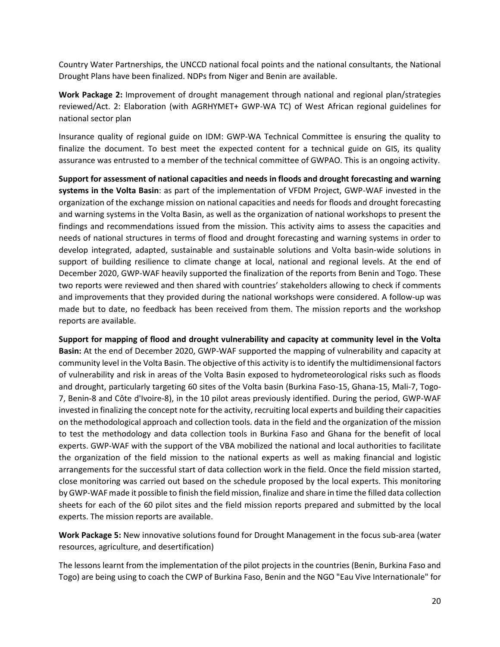Country Water Partnerships, the UNCCD national focal points and the national consultants, the National Drought Plans have been finalized. NDPs from Niger and Benin are available.

**Work Package 2:** Improvement of drought management through national and regional plan/strategies reviewed/Act. 2: Elaboration (with AGRHYMET+ GWP-WA TC) of West African regional guidelines for national sector plan

Insurance quality of regional guide on IDM: GWP-WA Technical Committee is ensuring the quality to finalize the document. To best meet the expected content for a technical guide on GIS, its quality assurance was entrusted to a member of the technical committee of GWPAO. This is an ongoing activity.

**Support for assessment of national capacities and needs in floods and drought forecasting and warning systems in the Volta Basin**: as part of the implementation of VFDM Project, GWP-WAF invested in the organization of the exchange mission on national capacities and needs for floods and drought forecasting and warning systems in the Volta Basin, as well as the organization of national workshops to present the findings and recommendations issued from the mission. This activity aims to assess the capacities and needs of national structures in terms of flood and drought forecasting and warning systems in order to develop integrated, adapted, sustainable and sustainable solutions and Volta basin-wide solutions in support of building resilience to climate change at local, national and regional levels. At the end of December 2020, GWP-WAF heavily supported the finalization of the reports from Benin and Togo. These two reports were reviewed and then shared with countries' stakeholders allowing to check if comments and improvements that they provided during the national workshops were considered. A follow-up was made but to date, no feedback has been received from them. The mission reports and the workshop reports are available.

**Support for mapping of flood and drought vulnerability and capacity at community level in the Volta Basin:** At the end of December 2020, GWP-WAF supported the mapping of vulnerability and capacity at community level in the Volta Basin. The objective of this activity is to identify the multidimensional factors of vulnerability and risk in areas of the Volta Basin exposed to hydrometeorological risks such as floods and drought, particularly targeting 60 sites of the Volta basin (Burkina Faso-15, Ghana-15, Mali-7, Togo-7, Benin-8 and Côte d'Ivoire-8), in the 10 pilot areas previously identified. During the period, GWP-WAF invested in finalizing the concept note for the activity, recruiting local experts and building their capacities on the methodological approach and collection tools. data in the field and the organization of the mission to test the methodology and data collection tools in Burkina Faso and Ghana for the benefit of local experts. GWP-WAF with the support of the VBA mobilized the national and local authorities to facilitate the organization of the field mission to the national experts as well as making financial and logistic arrangements for the successful start of data collection work in the field. Once the field mission started, close monitoring was carried out based on the schedule proposed by the local experts. This monitoring by GWP-WAFmade it possible to finish the field mission, finalize and share in time the filled data collection sheets for each of the 60 pilot sites and the field mission reports prepared and submitted by the local experts. The mission reports are available.

**Work Package 5:** New innovative solutions found for Drought Management in the focus sub-area (water resources, agriculture, and desertification)

The lessons learnt from the implementation of the pilot projects in the countries (Benin, Burkina Faso and Togo) are being using to coach the CWP of Burkina Faso, Benin and the NGO "Eau Vive Internationale" for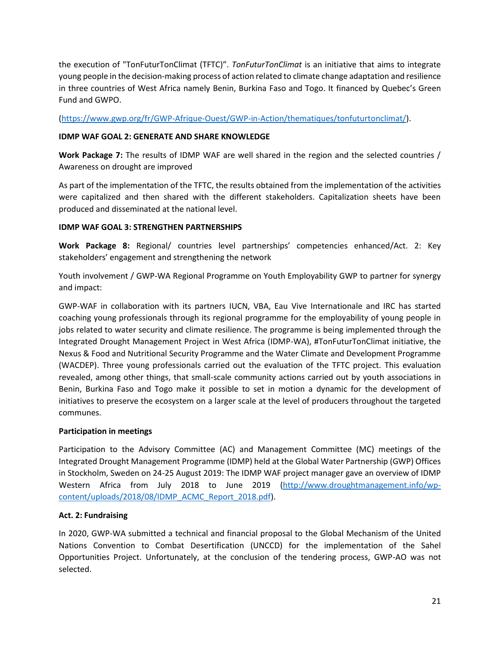the execution of "TonFuturTonClimat (TFTC)". *TonFuturTonClimat* is an initiative that aims to integrate young people in the decision-making process of action related to climate change adaptation and resilience in three countries of West Africa namely Benin, Burkina Faso and Togo. It financed by Quebec's Green Fund and GWPO.

[\(https://www.gwp.org/fr/GWP-Afrique-Ouest/GWP-in-Action/thematiques/tonfuturtonclimat/\)](https://www.gwp.org/fr/GWP-Afrique-Ouest/GWP-in-Action/thematiques/tonfuturtonclimat/).

#### **IDMP WAF GOAL 2: GENERATE AND SHARE KNOWLEDGE**

**Work Package 7:** The results of IDMP WAF are well shared in the region and the selected countries / Awareness on drought are improved

As part of the implementation of the TFTC, the results obtained from the implementation of the activities were capitalized and then shared with the different stakeholders. Capitalization sheets have been produced and disseminated at the national level.

#### **IDMP WAF GOAL 3: STRENGTHEN PARTNERSHIPS**

**Work Package 8:** Regional/ countries level partnerships' competencies enhanced/Act. 2: Key stakeholders' engagement and strengthening the network

Youth involvement / GWP-WA Regional Programme on Youth Employability GWP to partner for synergy and impact:

GWP-WAF in collaboration with its partners IUCN, VBA, Eau Vive Internationale and IRC has started coaching young professionals through its regional programme for the employability of young people in jobs related to water security and climate resilience. The programme is being implemented through the Integrated Drought Management Project in West Africa (IDMP-WA), #TonFuturTonClimat initiative, the Nexus & Food and Nutritional Security Programme and the Water Climate and Development Programme (WACDEP). Three young professionals carried out the evaluation of the TFTC project. This evaluation revealed, among other things, that small-scale community actions carried out by youth associations in Benin, Burkina Faso and Togo make it possible to set in motion a dynamic for the development of initiatives to preserve the ecosystem on a larger scale at the level of producers throughout the targeted communes.

#### **Participation in meetings**

Participation to the Advisory Committee (AC) and Management Committee (MC) meetings of the Integrated Drought Management Programme (IDMP) held at the Global Water Partnership (GWP) Offices in Stockholm, Sweden on 24-25 August 2019: The IDMP WAF project manager gave an overview of IDMP Western Africa from July 2018 to June 2019 [\(http://www.droughtmanagement.info/wp](http://www.droughtmanagement.info/wp-content/uploads/2018/08/IDMP_ACMC_Report_2018.pdf)[content/uploads/2018/08/IDMP\\_ACMC\\_Report\\_2018.pdf\)](http://www.droughtmanagement.info/wp-content/uploads/2018/08/IDMP_ACMC_Report_2018.pdf).

#### **Act. 2: Fundraising**

In 2020, GWP-WA submitted a technical and financial proposal to the Global Mechanism of the United Nations Convention to Combat Desertification (UNCCD) for the implementation of the Sahel Opportunities Project. Unfortunately, at the conclusion of the tendering process, GWP-AO was not selected.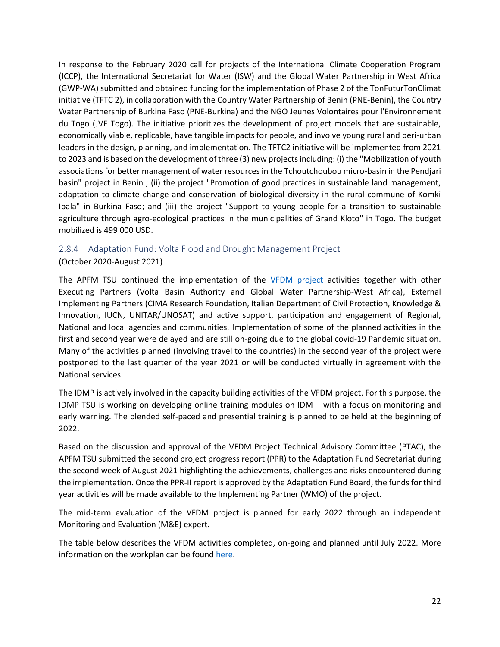In response to the February 2020 call for projects of the International Climate Cooperation Program (ICCP), the International Secretariat for Water (ISW) and the Global Water Partnership in West Africa (GWP-WA) submitted and obtained funding for the implementation of Phase 2 of the TonFuturTonClimat initiative (TFTC 2), in collaboration with the Country Water Partnership of Benin (PNE-Benin), the Country Water Partnership of Burkina Faso (PNE-Burkina) and the NGO Jeunes Volontaires pour l'Environnement du Togo (JVE Togo). The initiative prioritizes the development of project models that are sustainable, economically viable, replicable, have tangible impacts for people, and involve young rural and peri-urban leaders in the design, planning, and implementation. The TFTC2 initiative will be implemented from 2021 to 2023 and is based on the development of three (3) new projects including: (i) the "Mobilization of youth associations for better management of water resources in the Tchoutchoubou micro-basin in the Pendjari basin" project in Benin ; (ii) the project "Promotion of good practices in sustainable land management, adaptation to climate change and conservation of biological diversity in the rural commune of Komki Ipala" in Burkina Faso; and (iii) the project "Support to young people for a transition to sustainable agriculture through agro-ecological practices in the municipalities of Grand Kloto" in Togo. The budget mobilized is 499 000 USD.

#### <span id="page-25-0"></span>2.8.4 Adaptation Fund: Volta Flood and Drought Management Project

(October 2020-August 2021)

The APFM TSU continued the implementation of the [VFDM project](https://www.floodmanagement.info/volta-basin/) activities together with other Executing Partners (Volta Basin Authority and Global Water Partnership-West Africa), External Implementing Partners (CIMA Research Foundation, Italian Department of Civil Protection, Knowledge & Innovation, IUCN, UNITAR/UNOSAT) and active support, participation and engagement of Regional, National and local agencies and communities. Implementation of some of the planned activities in the first and second year were delayed and are still on-going due to the global covid-19 Pandemic situation. Many of the activities planned (involving travel to the countries) in the second year of the project were postponed to the last quarter of the year 2021 or will be conducted virtually in agreement with the National services.

The IDMP is actively involved in the capacity building activities of the VFDM project. For this purpose, the IDMP TSU is working on developing online training modules on IDM – with a focus on monitoring and early warning. The blended self-paced and presential training is planned to be held at the beginning of 2022.

Based on the discussion and approval of the VFDM Project Technical Advisory Committee (PTAC), the APFM TSU submitted the second project progress report (PPR) to the Adaptation Fund Secretariat during the second week of August 2021 highlighting the achievements, challenges and risks encountered during the implementation. Once the PPR-II report is approved by the Adaptation Fund Board, the funds for third year activities will be made available to the Implementing Partner (WMO) of the project.

The mid-term evaluation of the VFDM project is planned for early 2022 through an independent Monitoring and Evaluation (M&E) expert.

The table below describes the VFDM activities completed, on-going and planned until July 2022. More information on the workplan can be found [here.](https://www.floodmanagement.info/volta-basin/work-plan/)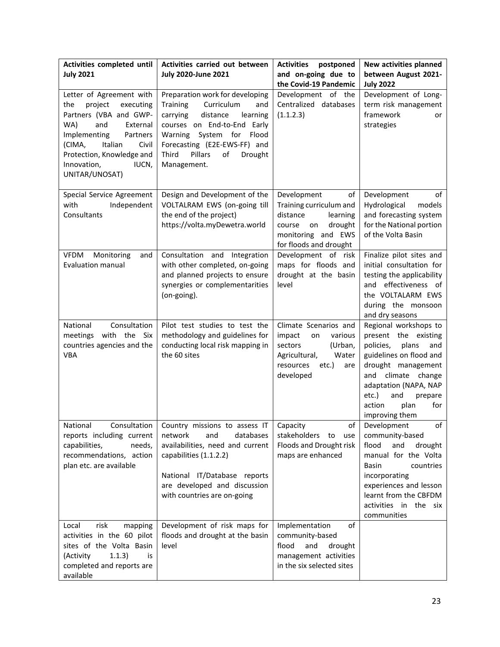| Activities completed until<br><b>July 2021</b>                                                                                                                                                                                               | Activities carried out between<br><b>July 2020-June 2021</b>                                                                                                                                                                                                  | <b>Activities</b><br>postponed<br>and on-going due to<br>the Covid-19 Pandemic                                                                  | New activities planned<br>between August 2021-<br><b>July 2022</b>                                                                                                                                                                               |
|----------------------------------------------------------------------------------------------------------------------------------------------------------------------------------------------------------------------------------------------|---------------------------------------------------------------------------------------------------------------------------------------------------------------------------------------------------------------------------------------------------------------|-------------------------------------------------------------------------------------------------------------------------------------------------|--------------------------------------------------------------------------------------------------------------------------------------------------------------------------------------------------------------------------------------------------|
| Letter of Agreement with<br>project<br>executing<br>the<br>Partners (VBA and GWP-<br>WA)<br>and<br>External<br>Implementing<br>Partners<br>Italian<br>Civil<br>(CIMA,<br>Protection, Knowledge and<br>Innovation,<br>IUCN,<br>UNITAR/UNOSAT) | Preparation work for developing<br>Curriculum<br><b>Training</b><br>and<br>carrying<br>distance<br>learning<br>courses on End-to-End Early<br>Warning System for<br>Flood<br>Forecasting (E2E-EWS-FF) and<br>Third<br>Pillars<br>of<br>Drought<br>Management. | Development of the<br>Centralized databases<br>(1.1.2.3)                                                                                        | Development of Long-<br>term risk management<br>framework<br>or<br>strategies                                                                                                                                                                    |
| Special Service Agreement<br>with<br>Independent<br>Consultants                                                                                                                                                                              | Design and Development of the<br>VOLTALRAM EWS (on-going till<br>the end of the project)<br>https://volta.myDewetra.world                                                                                                                                     | Development<br>of<br>Training curriculum and<br>distance<br>learning<br>course<br>drought<br>on<br>monitoring and EWS<br>for floods and drought | Development<br>of<br>Hydrological<br>models<br>and forecasting system<br>for the National portion<br>of the Volta Basin                                                                                                                          |
| <b>VFDM</b><br>Monitoring<br>and<br><b>Evaluation manual</b>                                                                                                                                                                                 | Consultation and Integration<br>with other completed, on-going<br>and planned projects to ensure<br>synergies or complementarities<br>(on-going).                                                                                                             | Development of risk<br>maps for floods and<br>drought at the basin<br>level                                                                     | Finalize pilot sites and<br>initial consultation for<br>testing the applicability<br>and effectiveness of<br>the VOLTALARM EWS<br>during the monsoon<br>and dry seasons                                                                          |
| Consultation<br>National<br>with the Six<br>meetings<br>countries agencies and the<br><b>VBA</b>                                                                                                                                             | Pilot test studies to test the<br>methodology and guidelines for<br>conducting local risk mapping in<br>the 60 sites                                                                                                                                          | Climate Scenarios and<br>impact<br>various<br>on<br>sectors<br>(Urban,<br>Water<br>Agricultural,<br>resources<br>etc.)<br>are<br>developed      | Regional workshops to<br>present the existing<br>policies,<br>plans<br>and<br>guidelines on flood and<br>drought management<br>and climate change<br>adaptation (NAPA, NAP<br>etc.)<br>and<br>prepare<br>for<br>action<br>plan<br>improving them |
| National<br>Consultation<br>reports including current<br>capabilities,<br>needs,<br>recommendations, action<br>plan etc. are available                                                                                                       | Country missions to assess IT<br>network<br>and<br>databases<br>availabilities, need and current<br>capabilities (1.1.2.2)<br>National IT/Database reports<br>are developed and discussion<br>with countries are on-going                                     | Capacity<br>оt<br>stakeholders<br>to<br>use<br>Floods and Drought risk<br>maps are enhanced                                                     | of<br>Development<br>community-based<br>flood<br>and<br>drought<br>manual for the Volta<br><b>Basin</b><br>countries<br>incorporating<br>experiences and lesson<br>learnt from the CBFDM<br>activities in the six<br>communities                 |
| risk<br>Local<br>mapping<br>activities in the 60 pilot<br>sites of the Volta Basin<br>1.1.3)<br>(Activity<br>is<br>completed and reports are<br>available                                                                                    | Development of risk maps for<br>floods and drought at the basin<br>level                                                                                                                                                                                      | Implementation<br>of<br>community-based<br>flood<br>and<br>drought<br>management activities<br>in the six selected sites                        |                                                                                                                                                                                                                                                  |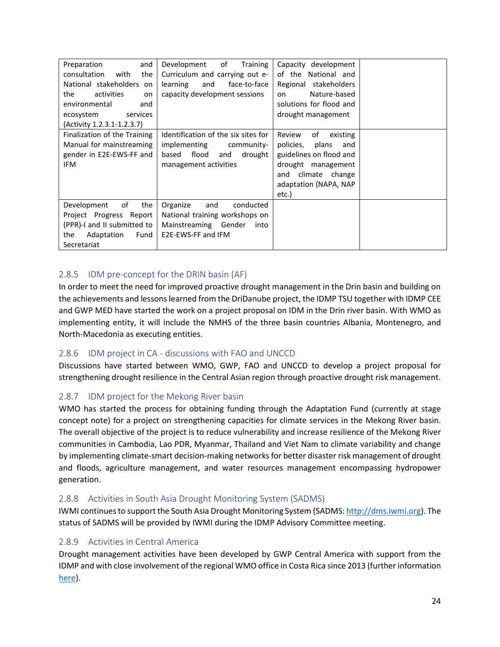| Preparation<br>and<br>consultation<br>with<br>the<br>National stakeholders<br>on<br>the<br>activities<br>on<br>environmental<br>and<br>ecosystem<br>services<br>(Activity 1.2.3.1-1.2.3.7) | of<br>Development<br>Training<br>Curriculum and carrying out e-<br>learning<br>and<br>face-to-face<br>capacity development sessions | Capacity<br>development<br>of the National and<br>Regional stakeholders<br>Nature-based<br>on<br>solutions for flood and<br>drought management                    |  |
|--------------------------------------------------------------------------------------------------------------------------------------------------------------------------------------------|-------------------------------------------------------------------------------------------------------------------------------------|-------------------------------------------------------------------------------------------------------------------------------------------------------------------|--|
| Finalization of the Training<br>Manual for mainstreaming<br>gender in E2E-EWS-FF and<br>IFM                                                                                                | Identification of the six sites for<br>implementing<br>community-<br>flood<br>based<br>drought<br>and<br>management activities      | of<br>Review<br>existing<br>policies,<br>plans<br>and<br>guidelines on flood and<br>drought management<br>climate change<br>and<br>adaptation (NAPA, NAP<br>etc.) |  |
| of<br>the<br>Development<br>Project Progress Report<br>(PPR)-I and II submitted to<br>Adaptation<br>Fund<br>the<br>Secretariat                                                             | Organize<br>and<br>conducted<br>National training workshops on<br>Mainstreaming Gender<br>into<br>E2E-EWS-FF and IFM                |                                                                                                                                                                   |  |

## <span id="page-27-0"></span>2.8.5 IDM pre-concept for the DRIN basin (AF)

In order to meet the need for improved proactive drought management in the Drin basin and building on the achievements and lessons learned from the DriDanube project, the IDMP TSU together with IDMP CEE and GWP MED have started the work on a project proposal on IDM in the Drin river basin. With WMO as implementing entity, it will include the NMHS of the three basin countries Albania, Montenegro, and North-Macedonia as executing entities.

#### <span id="page-27-1"></span>2.8.6 IDM project in CA - discussions with FAO and UNCCD

Discussions have started between WMO, GWP, FAO and UNCCD to develop a project proposal for strengthening drought resilience in the Central Asian region through proactive drought risk management.

#### <span id="page-27-2"></span>2.8.7 IDM project for the Mekong River basin

WMO has started the process for obtaining funding through the Adaptation Fund (currently at stage concept note) for a project on strengthening capacities for climate services in the Mekong River basin. The overall objective of the project is to reduce vulnerability and increase resilience of the Mekong River communities in Cambodia, Lao PDR, Myanmar, Thailand and Viet Nam to climate variability and change by implementing climate-smart decision-making networks for better disaster risk management of drought and floods, agriculture management, and water resources management encompassing hydropower generation.

#### <span id="page-27-3"></span>2.8.8 Activities in South Asia Drought Monitoring System (SADMS)

IWMI continues to support the South Asia Drought Monitoring System (SADMS: [http://dms.iwmi.org\)](http://dms.iwmi.org/). The status of SADMS will be provided by IWMI during the IDMP Advisory Committee meeting.

## <span id="page-27-4"></span>2.8.9 Activities in Central America

Drought management activities have been developed by GWP Central America with support from the IDMP and with close involvement of the regional WMO office in Costa Rica since 2013 (further information [here\)](http://www.droughtmanagement.info/idmp-activities/central_america/).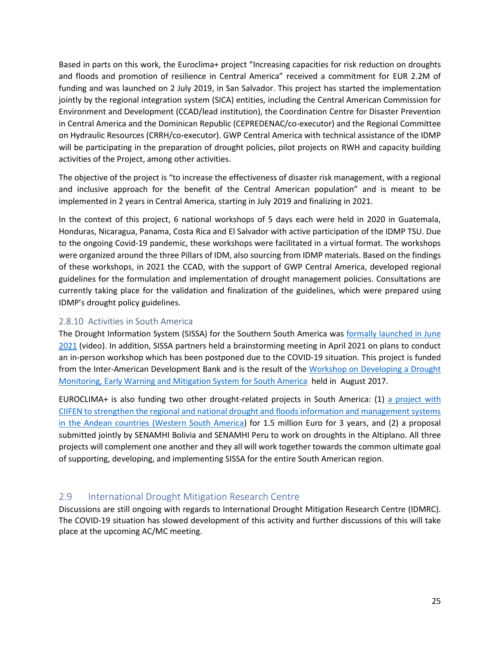Based in parts on this work, the Euroclima+ project "Increasing capacities for risk reduction on droughts and floods and promotion of resilience in Central America" received a commitment for EUR 2.2M of funding and was launched on 2 July 2019, in San Salvador. This project has started the implementation jointly by the regional integration system (SICA) entities, including the Central American Commission for Environment and Development (CCAD/lead institution), the Coordination Centre for Disaster Prevention in Central America and the Dominican Republic (CEPREDENAC/co-executor) and the Regional Committee on Hydraulic Resources (CRRH/co-executor). GWP Central America with technical assistance of the IDMP will be participating in the preparation of drought policies, pilot projects on RWH and capacity building activities of the Project, among other activities.

The objective of the project is "to increase the effectiveness of disaster risk management, with a regional and inclusive approach for the benefit of the Central American population" and is meant to be implemented in 2 years in Central America, starting in July 2019 and finalizing in 2021.

In the context of this project, 6 national workshops of 5 days each were held in 2020 in Guatemala, Honduras, Nicaragua, Panama, Costa Rica and El Salvador with active participation of the IDMP TSU. Due to the ongoing Covid-19 pandemic, these workshops were facilitated in a virtual format. The workshops were organized around the three Pillars of IDM, also sourcing from IDMP materials. Based on the findings of these workshops, in 2021 the CCAD, with the support of GWP Central America, developed regional guidelines for the formulation and implementation of drought management policies. Consultations are currently taking place for the validation and finalization of the guidelines, which were prepared using IDMP's drought policy guidelines.

#### <span id="page-28-0"></span>2.8.10 Activities in South America

The Drought Information System (SISSA) for the Southern South America was [formally launched in June](https://youtu.be/wD4fKpQAvy8)  [2021](https://youtu.be/wD4fKpQAvy8) (video). In addition, SISSA partners held a brainstorming meeting in April 2021 on plans to conduct an in-person workshop which has been postponed due to the COVID-19 situation. This project is funded from the Inter-American Development Bank and is the result of the [Workshop on Developing a Drought](http://www.wmo.int/pages/prog/wcp/agm/meetings/sadm17/)  [Monitoring, Early Warning and Mitigation System for South America](http://www.wmo.int/pages/prog/wcp/agm/meetings/sadm17/) held in August 2017.

EUROCLIMA+ is also funding two other drought-related projects in South America: (1) [a project with](https://public.wmo.int/en/media/news/euroclima-boosts-risk-management-of-droughts-and-floods-andes)  [CIIFEN to strengthen the regional and national drought and floods information and management systems](https://public.wmo.int/en/media/news/euroclima-boosts-risk-management-of-droughts-and-floods-andes)  [in the Andean countries \(Western South America\)](https://public.wmo.int/en/media/news/euroclima-boosts-risk-management-of-droughts-and-floods-andes) for 1.5 million Euro for 3 years, and (2) a proposal submitted jointly by SENAMHI Bolivia and SENAMHI Peru to work on droughts in the Altiplano. All three projects will complement one another and they all will work together towards the common ultimate goal of supporting, developing, and implementing SISSA for the entire South American region.

## <span id="page-28-1"></span>2.9 International Drought Mitigation Research Centre

Discussions are still ongoing with regards to International Drought Mitigation Research Centre (IDMRC). The COVID-19 situation has slowed development of this activity and further discussions of this will take place at the upcoming AC/MC meeting.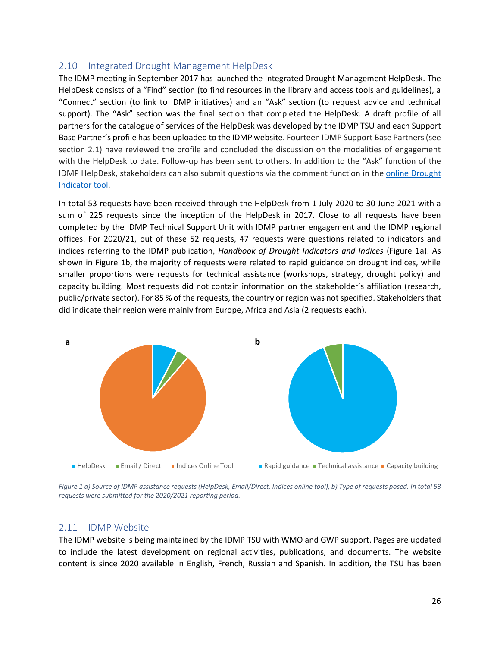## <span id="page-29-0"></span>2.10 Integrated Drought Management HelpDesk

The IDMP meeting in September 2017 has launched the Integrated Drought Management HelpDesk. The HelpDesk consists of a "Find" section (to find resources in the library and access tools and guidelines), a "Connect" section (to link to IDMP initiatives) and an "Ask" section (to request advice and technical support). The "Ask" section was the final section that completed the HelpDesk. A draft profile of all partners for the catalogue of services of the HelpDesk was developed by the IDMP TSU and each Support Base Partner's profile has been uploaded to the IDMP website. Fourteen IDMP Support Base Partners (see section 2.1) have reviewed the profile and concluded the discussion on the modalities of engagement with the HelpDesk to date. Follow-up has been sent to others. In addition to the "Ask" function of the IDMP HelpDesk, stakeholders can also submit questions via the comment function in th[e online Drought](https://www.droughtmanagement.info/indices/)  [Indicator tool.](https://www.droughtmanagement.info/indices/)

In total 53 requests have been received through the HelpDesk from 1 July 2020 to 30 June 2021 with a sum of 225 requests since the inception of the HelpDesk in 2017. Close to all requests have been completed by the IDMP Technical Support Unit with IDMP partner engagement and the IDMP regional offices. For 2020/21, out of these 52 requests, 47 requests were questions related to indicators and indices referring to the IDMP publication, *Handbook of Drought Indicators and Indices* [\(Figure 1a](#page-29-2)). As shown in [Figure 1b](#page-29-2), the majority of requests were related to rapid guidance on drought indices, while smaller proportions were requests for technical assistance (workshops, strategy, drought policy) and capacity building. Most requests did not contain information on the stakeholder's affiliation (research, public/private sector). For 85 % of the requests, the country or region was not specified. Stakeholders that did indicate their region were mainly from Europe, Africa and Asia (2 requests each).



<span id="page-29-2"></span>*Figure 1 a) Source of IDMP assistance requests (HelpDesk, Email/Direct, Indices online tool), b) Type of requests posed. In total 53 requests were submitted for the 2020/2021 reporting period.*

#### <span id="page-29-1"></span>2.11 IDMP Website

The IDMP website is being maintained by the IDMP TSU with WMO and GWP support. Pages are updated to include the latest development on regional activities, publications, and documents. The website content is since 2020 available in English, French, Russian and Spanish. In addition, the TSU has been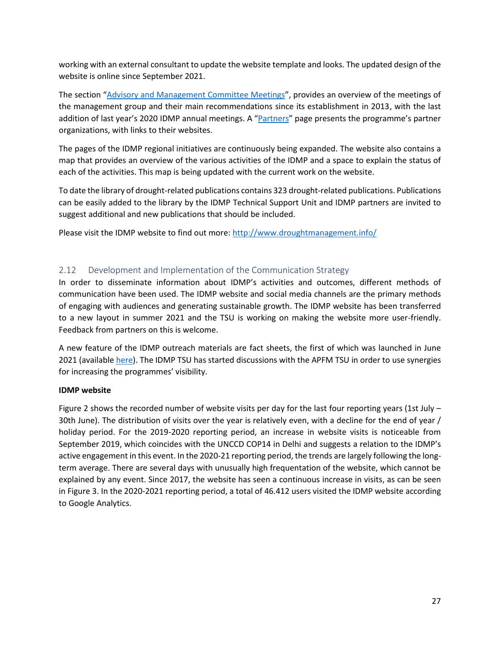working with an external consultant to update the website template and looks. The updated design of the website is online since September 2021.

The section "[Advisory and Management Committee Meetings](https://www.droughtmanagement.info/about/advisory-and-management-committee-meetings/)", provides an overview of the meetings of the management group and their main recommendations since its establishment in 2013, with the last addition of last year's 2020 IDMP annual meetings. A "[Partners](https://www.droughtmanagement.info/about/partners/)" page presents the programme's partner organizations, with links to their websites.

The pages of the IDMP regional initiatives are continuously being expanded. The website also contains a map that provides an overview of the various activities of the IDMP and a space to explain the status of each of the activities. This map is being updated with the current work on the website.

To date the library of drought-related publications contains 323 drought-related publications. Publications can be easily added to the library by the IDMP Technical Support Unit and IDMP partners are invited to suggest additional and new publications that should be included.

Please visit the IDMP website to find out more:<http://www.droughtmanagement.info/>

#### <span id="page-30-0"></span>2.12 Development and Implementation of the Communication Strategy

In order to disseminate information about IDMP's activities and outcomes, different methods of communication have been used. The IDMP website and social media channels are the primary methods of engaging with audiences and generating sustainable growth. The IDMP website has been transferred to a new layout in summer 2021 and the TSU is working on making the website more user-friendly. Feedback from partners on this is welcome.

A new feature of the IDMP outreach materials are fact sheets, the first of which was launched in June 2021 (available [here\)](https://www.droughtmanagement.info/wp-content/uploads/2021/06/IDMP_3pillars_factsheet.pdf). The IDMP TSU has started discussions with the APFM TSU in order to use synergies for increasing the programmes' visibility.

#### **IDMP website**

[Figure 2](#page-31-0) shows the recorded number of website visits per day for the last four reporting years (1st July – 30th June). The distribution of visits over the year is relatively even, with a decline for the end of year / holiday period. For the 2019-2020 reporting period, an increase in website visits is noticeable from September 2019, which coincides with the UNCCD COP14 in Delhi and suggests a relation to the IDMP's active engagement in this event. In the 2020-21 reporting period, the trends are largely following the longterm average. There are several days with unusually high frequentation of the website, which cannot be explained by any event. Since 2017, the website has seen a continuous increase in visits, as can be seen i[n Figure 3.](#page-31-1) In the 2020-2021 reporting period, a total of 46.412 users visited the IDMP website according to Google Analytics.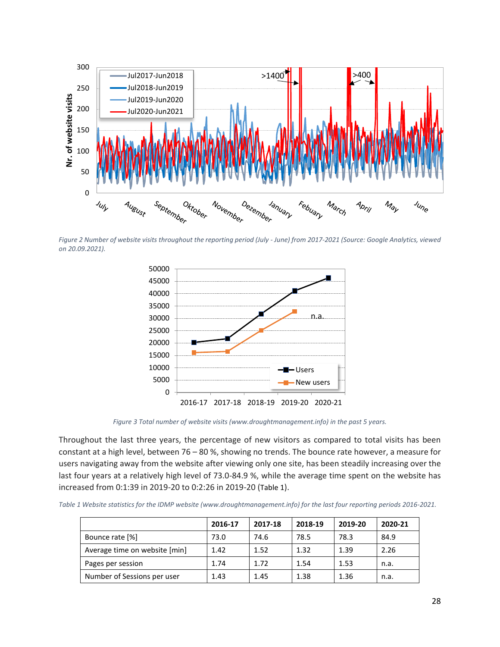

<span id="page-31-0"></span>*Figure 2 Number of website visits throughout the reporting period (July - June) from 2017-2021 (Source: Google Analytics, viewed on 20.09.2021).*



*Figure 3 Total number of website visits (www.droughtmanagement.info) in the past 5 years.*

<span id="page-31-1"></span>Throughout the last three years, the percentage of new visitors as compared to total visits has been constant at a high level, between 76 – 80 %, showing no trends. The bounce rate however, a measure for users navigating away from the website after viewing only one site, has been steadily increasing over the last four years at a relatively high level of 73.0-84.9 %, while the average time spent on the website has increased from 0:1:39 in 2019-20 to 0:2:26 in 2019-20 ([Table 1](#page-31-2)).

<span id="page-31-2"></span>

| Table 1 Website statistics for the IDMP website (www.droughtmanagement.info) for the last four reporting periods 2016-2021. |  |  |  |  |
|-----------------------------------------------------------------------------------------------------------------------------|--|--|--|--|
|-----------------------------------------------------------------------------------------------------------------------------|--|--|--|--|

|                               | 2016-17 | 2017-18 | 2018-19 | 2019-20 | 2020-21 |
|-------------------------------|---------|---------|---------|---------|---------|
| Bounce rate [%]               | 73.0    | 74.6    | 78.5    | 78.3    | 84.9    |
| Average time on website [min] | 1.42    | 1.52    | 1.32    | 1.39    | 2.26    |
| Pages per session             | 1.74    | 1.72    | 1.54    | 1.53    | n.a.    |
| Number of Sessions per user   | 1.43    | 1.45    | 1.38    | 1.36    | n.a.    |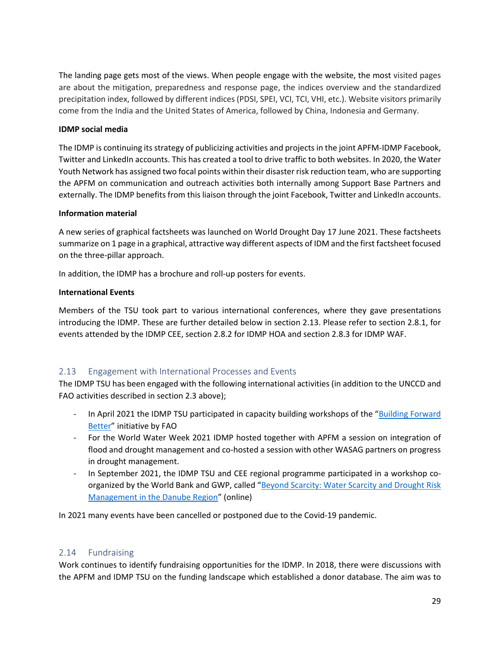The landing page gets most of the views. When people engage with the website, the most visited pages are about the mitigation, preparedness and response page, the indices overview and the standardized precipitation index, followed by different indices (PDSI, SPEI, VCI, TCI, VHI, etc.). Website visitors primarily come from the India and the United States of America, followed by China, Indonesia and Germany.

#### **IDMP social media**

The IDMP is continuing its strategy of publicizing activities and projects in the joint APFM-IDMP Facebook, Twitter and LinkedIn accounts. This has created a tool to drive traffic to both websites. In 2020, the Water Youth Network has assigned two focal points within their disaster risk reduction team, who are supporting the APFM on communication and outreach activities both internally among Support Base Partners and externally. The IDMP benefits from this liaison through the joint Facebook, Twitter and LinkedIn accounts.

#### **Information material**

A new series of graphical factsheets was launched on World Drought Day 17 June 2021. These factsheets summarize on 1 page in a graphical, attractive way different aspects of IDM and the first factsheet focused on the three-pillar approach.

In addition, the IDMP has a brochure and roll-up posters for events.

#### **International Events**

Members of the TSU took part to various international conferences, where they gave presentations introducing the IDMP. These are further detailed below in section 2.13. Please refer to section 2.8.1, for events attended by the IDMP CEE, section 2.8.2 for IDMP HOA and section 2.8.3 for IDMP WAF.

#### <span id="page-32-0"></span>2.13 Engagement with International Processes and Events

The IDMP TSU has been engaged with the following international activities (in addition to the UNCCD and FAO activities described in section 2.3 above);

- In April 2021 the IDMP TSU participated in capacity building workshops of the "[Building Forward](http://www.fao.org/publications/card/en/c/CA9820EN/)  [Better](http://www.fao.org/publications/card/en/c/CA9820EN/)" initiative by FAO
- For the World Water Week 2021 IDMP hosted together with APFM a session on integration of flood and drought management and co-hosted a session with other WASAG partners on progress in drought management.
- In September 2021, the IDMP TSU and CEE regional programme participated in a workshop coorganized by the World Bank and GWP, called "Beyond Scarcity: Water Scarcity and Drought Risk [Management in the Danube Region](https://danube-region.eu/danube-events/beyond-scarcity-water-scarcity-and-drought-risk-management-in-the-danube-region/)" (online)

In 2021 many events have been cancelled or postponed due to the Covid-19 pandemic.

#### <span id="page-32-1"></span>2.14 Fundraising

Work continues to identify fundraising opportunities for the IDMP. In 2018, there were discussions with the APFM and IDMP TSU on the funding landscape which established a donor database. The aim was to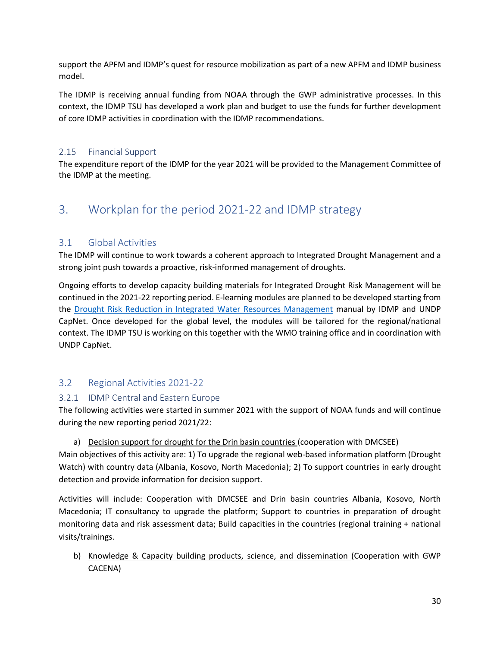support the APFM and IDMP's quest for resource mobilization as part of a new APFM and IDMP business model.

The IDMP is receiving annual funding from NOAA through the GWP administrative processes. In this context, the IDMP TSU has developed a work plan and budget to use the funds for further development of core IDMP activities in coordination with the IDMP recommendations.

#### <span id="page-33-0"></span>2.15 Financial Support

The expenditure report of the IDMP for the year 2021 will be provided to the Management Committee of the IDMP at the meeting.

## <span id="page-33-1"></span>3. Workplan for the period 2021-22 and IDMP strategy

## <span id="page-33-2"></span>3.1 Global Activities

The IDMP will continue to work towards a coherent approach to Integrated Drought Management and a strong joint push towards a proactive, risk-informed management of droughts.

Ongoing efforts to develop capacity building materials for Integrated Drought Risk Management will be continued in the 2021-22 reporting period. E-learning modules are planned to be developed starting from the [Drought Risk Reduction in Integrated Water Resources Management](https://www.droughtmanagement.info/literature/Cap-Net_DRR_Manual.pdf) manual by IDMP and UNDP CapNet. Once developed for the global level, the modules will be tailored for the regional/national context. The IDMP TSU is working on this together with the WMO training office and in coordination with UNDP CapNet.

## <span id="page-33-3"></span>3.2 Regional Activities 2021-22

#### <span id="page-33-4"></span>3.2.1 IDMP Central and Eastern Europe

The following activities were started in summer 2021 with the support of NOAA funds and will continue during the new reporting period 2021/22:

#### a) Decision support for drought for the Drin basin countries (cooperation with DMCSEE)

Main objectives of this activity are: 1) To upgrade the regional web-based information platform (Drought Watch) with country data (Albania, Kosovo, North Macedonia); 2) To support countries in early drought detection and provide information for decision support.

Activities will include: Cooperation with DMCSEE and Drin basin countries Albania, Kosovo, North Macedonia; IT consultancy to upgrade the platform; Support to countries in preparation of drought monitoring data and risk assessment data; Build capacities in the countries (regional training + national visits/trainings.

b) Knowledge & Capacity building products, science, and dissemination (Cooperation with GWP CACENA)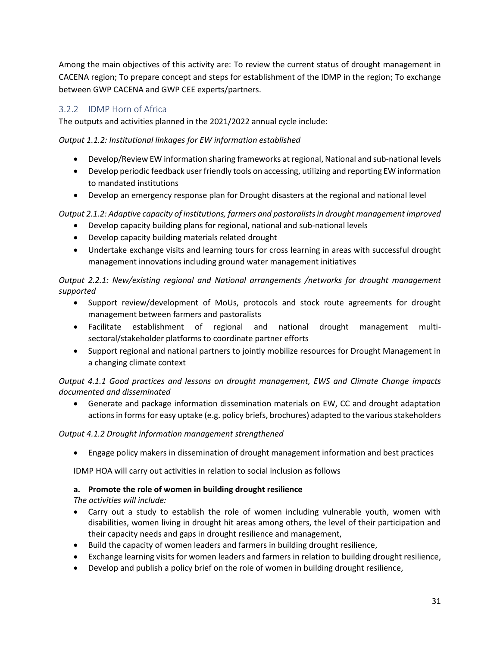Among the main objectives of this activity are: To review the current status of drought management in CACENA region; To prepare concept and steps for establishment of the IDMP in the region; To exchange between GWP CACENA and GWP CEE experts/partners.

## <span id="page-34-0"></span>3.2.2 IDMP Horn of Africa

The outputs and activities planned in the 2021/2022 annual cycle include:

*Output 1.1.2: Institutional linkages for EW information established*

- Develop/Review EW information sharing frameworks at regional, National and sub-national levels
- Develop periodic feedback user friendly tools on accessing, utilizing and reporting EW information to mandated institutions
- Develop an emergency response plan for Drought disasters at the regional and national level

*Output 2.1.2: Adaptive capacity of institutions, farmers and pastoralists in drought management improved*

- Develop capacity building plans for regional, national and sub-national levels
- Develop capacity building materials related drought
- Undertake exchange visits and learning tours for cross learning in areas with successful drought management innovations including ground water management initiatives

*Output 2.2.1: New/existing regional and National arrangements /networks for drought management supported*

- Support review/development of MoUs, protocols and stock route agreements for drought management between farmers and pastoralists
- Facilitate establishment of regional and national drought management multisectoral/stakeholder platforms to coordinate partner efforts
- Support regional and national partners to jointly mobilize resources for Drought Management in a changing climate context

*Output 4.1.1 Good practices and lessons on drought management, EWS and Climate Change impacts documented and disseminated*

• Generate and package information dissemination materials on EW, CC and drought adaptation actions in forms for easy uptake (e.g. policy briefs, brochures) adapted to the various stakeholders

#### *Output 4.1.2 Drought information management strengthened*

• Engage policy makers in dissemination of drought management information and best practices

IDMP HOA will carry out activities in relation to social inclusion as follows

#### **a. Promote the role of women in building drought resilience**

*The activities will include:*

- Carry out a study to establish the role of women including vulnerable youth, women with disabilities, women living in drought hit areas among others, the level of their participation and their capacity needs and gaps in drought resilience and management,
- Build the capacity of women leaders and farmers in building drought resilience,
- Exchange learning visits for women leaders and farmers in relation to building drought resilience,
- Develop and publish a policy brief on the role of women in building drought resilience,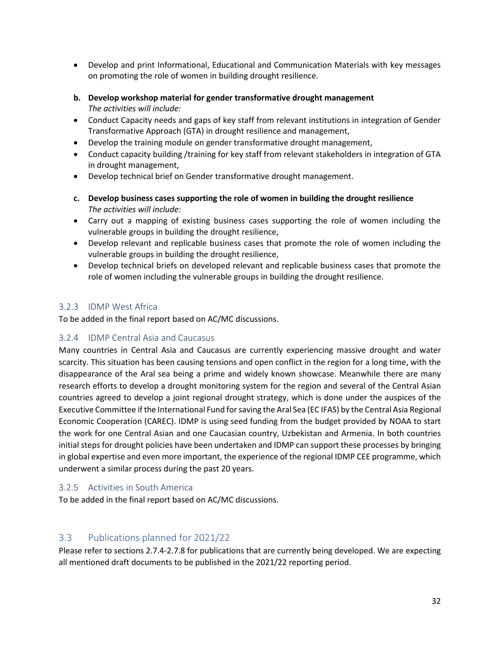- Develop and print Informational, Educational and Communication Materials with key messages on promoting the role of women in building drought resilience.
- **b. Develop workshop material for gender transformative drought management** *The activities will include:*
- Conduct Capacity needs and gaps of key staff from relevant institutions in integration of Gender Transformative Approach (GTA) in drought resilience and management,
- Develop the training module on gender transformative drought management,
- Conduct capacity building /training for key staff from relevant stakeholders in integration of GTA in drought management,
- Develop technical brief on Gender transformative drought management.
- **c. Develop business cases supporting the role of women in building the drought resilience** *The activities will include:*
- Carry out a mapping of existing business cases supporting the role of women including the vulnerable groups in building the drought resilience,
- Develop relevant and replicable business cases that promote the role of women including the vulnerable groups in building the drought resilience,
- Develop technical briefs on developed relevant and replicable business cases that promote the role of women including the vulnerable groups in building the drought resilience.

#### <span id="page-35-0"></span>3.2.3 IDMP West Africa

To be added in the final report based on AC/MC discussions.

#### <span id="page-35-1"></span>3.2.4 IDMP Central Asia and Caucasus

Many countries in Central Asia and Caucasus are currently experiencing massive drought and water scarcity. This situation has been causing tensions and open conflict in the region for a long time, with the disappearance of the Aral sea being a prime and widely known showcase. Meanwhile there are many research efforts to develop a drought monitoring system for the region and several of the Central Asian countries agreed to develop a joint regional drought strategy, which is done under the auspices of the Executive Committee if the International Fund for saving the Aral Sea (EC IFAS) by the Central Asia Regional Economic Cooperation (CAREC). IDMP is using seed funding from the budget provided by NOAA to start the work for one Central Asian and one Caucasian country, Uzbekistan and Armenia. In both countries initial steps for drought policies have been undertaken and IDMP can support these processes by bringing in global expertise and even more important, the experience of the regional IDMP CEE programme, which underwent a similar process during the past 20 years.

#### <span id="page-35-2"></span>3.2.5 Activities in South America

To be added in the final report based on AC/MC discussions.

#### <span id="page-35-3"></span>3.3 Publications planned for 2021/22

Please refer to sections 2.7.4-2.7.8 for publications that are currently being developed. We are expecting all mentioned draft documents to be published in the 2021/22 reporting period.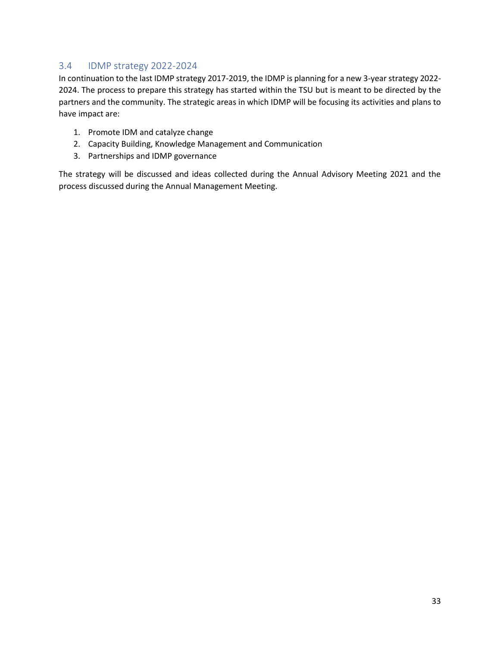## <span id="page-36-0"></span>3.4 IDMP strategy 2022-2024

In continuation to the last IDMP strategy 2017-2019, the IDMP is planning for a new 3-year strategy 2022- 2024. The process to prepare this strategy has started within the TSU but is meant to be directed by the partners and the community. The strategic areas in which IDMP will be focusing its activities and plans to have impact are:

- 1. Promote IDM and catalyze change
- 2. Capacity Building, Knowledge Management and Communication
- 3. Partnerships and IDMP governance

The strategy will be discussed and ideas collected during the Annual Advisory Meeting 2021 and the process discussed during the Annual Management Meeting.